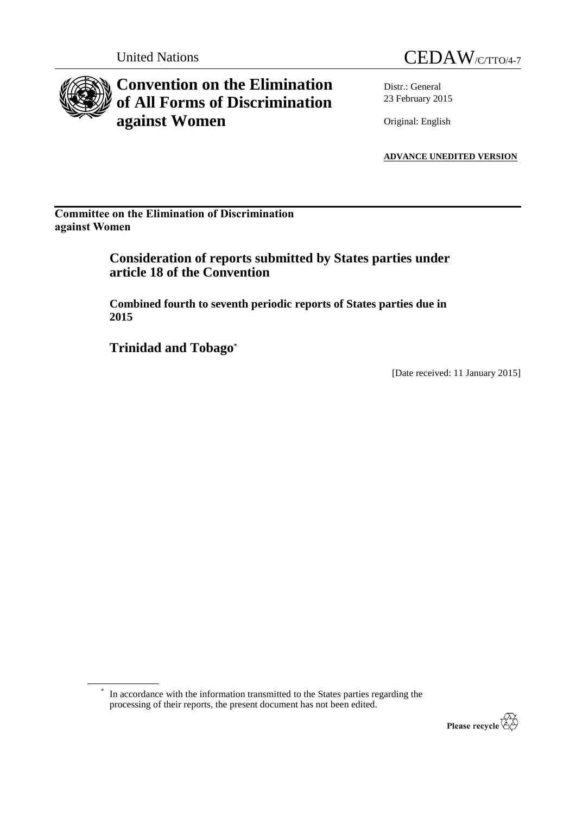

# **Convention on the Elimination of All Forms of Discrimination against Women**



Distr.: General 23 February 2015

Original: English

**ADVANCE UNEDITED VERSION**

**Committee on the Elimination of Discrimination against Women**

> **Consideration of reports submitted by States parties under article 18 of the Convention**

> **Combined fourth to seventh periodic reports of States parties due in 2015**

**Trinidad and Tobago\***

[Date received: 11 January 2015]

\* In accordance with the information transmitted to the States parties regarding the processing of their reports, the present document has not been edited.

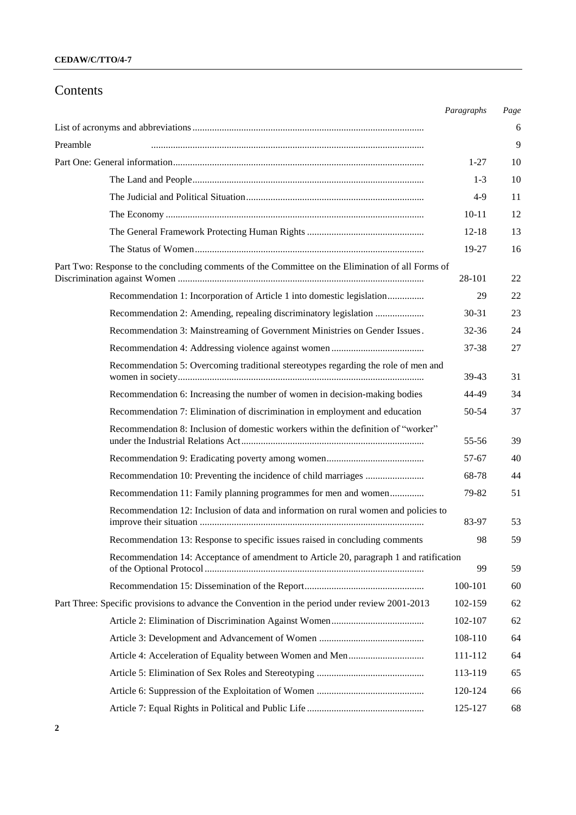## Contents

|                                                                                                   | Paragraphs | Page |
|---------------------------------------------------------------------------------------------------|------------|------|
|                                                                                                   |            | 6    |
| Preamble                                                                                          |            | 9    |
|                                                                                                   |            | 10   |
|                                                                                                   | $1 - 3$    | 10   |
|                                                                                                   | $4-9$      | 11   |
|                                                                                                   | $10 - 11$  | 12   |
|                                                                                                   | $12 - 18$  | 13   |
|                                                                                                   | 19-27      | 16   |
| Part Two: Response to the concluding comments of the Committee on the Elimination of all Forms of | 28-101     | 22   |
| Recommendation 1: Incorporation of Article 1 into domestic legislation                            | 29         | 22   |
|                                                                                                   | $30 - 31$  | 23   |
| Recommendation 3: Mainstreaming of Government Ministries on Gender Issues.                        | 32-36      | 24   |
|                                                                                                   | 37-38      | 27   |
| Recommendation 5: Overcoming traditional stereotypes regarding the role of men and                | 39-43      | 31   |
| Recommendation 6: Increasing the number of women in decision-making bodies                        | 44-49      | 34   |
| Recommendation 7: Elimination of discrimination in employment and education                       | 50-54      | 37   |
| Recommendation 8: Inclusion of domestic workers within the definition of "worker"                 | 55-56      | 39   |
|                                                                                                   | 57-67      | 40   |
|                                                                                                   | 68-78      | 44   |
| Recommendation 11: Family planning programmes for men and women                                   | 79-82      | 51   |
| Recommendation 12: Inclusion of data and information on rural women and policies to               | 83-97      | 53   |
| Recommendation 13: Response to specific issues raised in concluding comments                      | 98         | 59   |
| Recommendation 14: Acceptance of amendment to Article 20, paragraph 1 and ratification            | 99         | 59   |
|                                                                                                   | 100-101    | 60   |
| Part Three: Specific provisions to advance the Convention in the period under review 2001-2013    | 102-159    | 62   |
|                                                                                                   | 102-107    | 62   |
|                                                                                                   | 108-110    | 64   |
|                                                                                                   | 111-112    | 64   |
|                                                                                                   | 113-119    | 65   |
|                                                                                                   | 120-124    | 66   |
|                                                                                                   | 125-127    | 68   |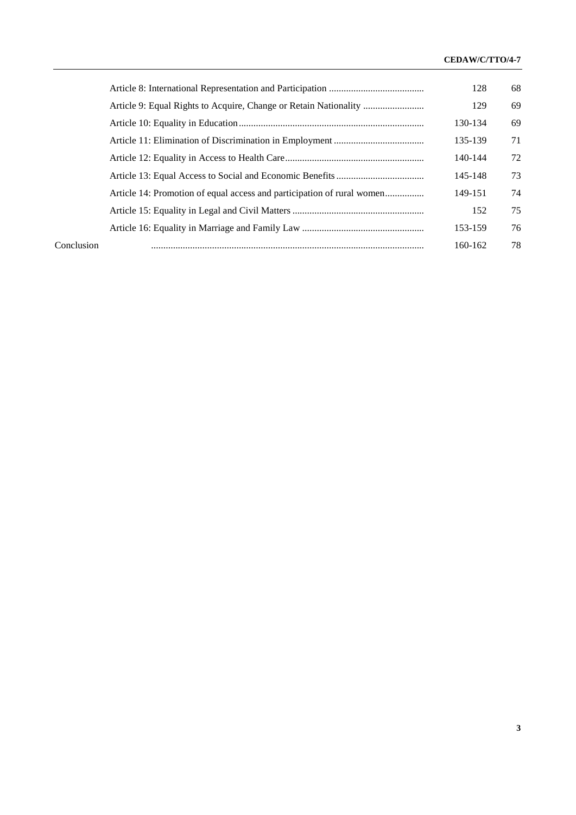## **CEDAW/C/TTO/4-7**

|            |                                                                        | 128     | 68 |
|------------|------------------------------------------------------------------------|---------|----|
|            | Article 9: Equal Rights to Acquire, Change or Retain Nationality       | 129     | 69 |
|            |                                                                        | 130-134 | 69 |
|            |                                                                        | 135-139 | 71 |
|            |                                                                        | 140-144 | 72 |
|            |                                                                        | 145-148 | 73 |
|            | Article 14: Promotion of equal access and participation of rural women | 149-151 | 74 |
|            |                                                                        | 152     | 75 |
|            |                                                                        | 153-159 | 76 |
| Conclusion |                                                                        | 160-162 | 78 |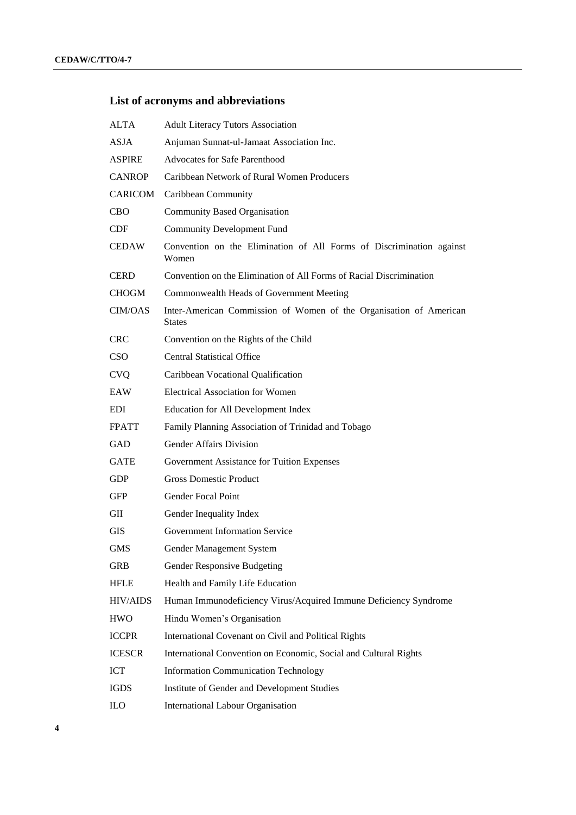## **List of acronyms and abbreviations**

| <b>ALTA</b>     | <b>Adult Literacy Tutors Association</b>                                      |
|-----------------|-------------------------------------------------------------------------------|
| <b>ASJA</b>     | Anjuman Sunnat-ul-Jamaat Association Inc.                                     |
| <b>ASPIRE</b>   | <b>Advocates for Safe Parenthood</b>                                          |
| <b>CANROP</b>   | Caribbean Network of Rural Women Producers                                    |
| <b>CARICOM</b>  | Caribbean Community                                                           |
| <b>CBO</b>      | <b>Community Based Organisation</b>                                           |
| <b>CDF</b>      | <b>Community Development Fund</b>                                             |
| <b>CEDAW</b>    | Convention on the Elimination of All Forms of Discrimination against<br>Women |
| <b>CERD</b>     | Convention on the Elimination of All Forms of Racial Discrimination           |
| <b>CHOGM</b>    | Commonwealth Heads of Government Meeting                                      |
| <b>CIM/OAS</b>  | Inter-American Commission of Women of the Organisation of American<br>States  |
| <b>CRC</b>      | Convention on the Rights of the Child                                         |
| <b>CSO</b>      | <b>Central Statistical Office</b>                                             |
| <b>CVQ</b>      | Caribbean Vocational Qualification                                            |
| EAW             | <b>Electrical Association for Women</b>                                       |
| <b>EDI</b>      | <b>Education for All Development Index</b>                                    |
| <b>FPATT</b>    | Family Planning Association of Trinidad and Tobago                            |
| GAD             | <b>Gender Affairs Division</b>                                                |
| <b>GATE</b>     | Government Assistance for Tuition Expenses                                    |
| <b>GDP</b>      | <b>Gross Domestic Product</b>                                                 |
| <b>GFP</b>      | <b>Gender Focal Point</b>                                                     |
| GII             | Gender Inequality Index                                                       |
| GIS             | Government Information Service                                                |
| GMS             | Gender Management System                                                      |
| <b>GRB</b>      | Gender Responsive Budgeting                                                   |
| <b>HFLE</b>     | Health and Family Life Education                                              |
| <b>HIV/AIDS</b> | Human Immunodeficiency Virus/Acquired Immune Deficiency Syndrome              |
| <b>HWO</b>      | Hindu Women's Organisation                                                    |
| <b>ICCPR</b>    | International Covenant on Civil and Political Rights                          |
| <b>ICESCR</b>   | International Convention on Economic, Social and Cultural Rights              |
| ICT             | <b>Information Communication Technology</b>                                   |
| <b>IGDS</b>     | Institute of Gender and Development Studies                                   |
| ILO             | International Labour Organisation                                             |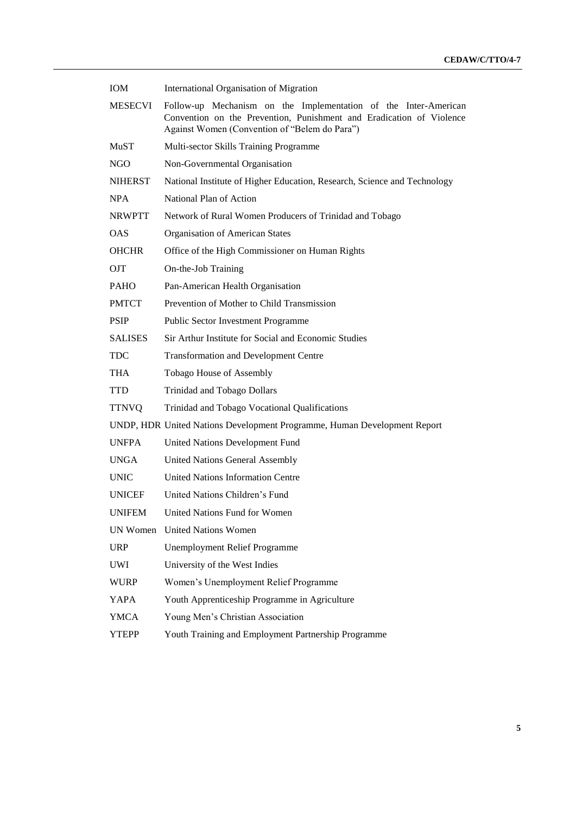| <b>IOM</b>     | <b>International Organisation of Migration</b>                                                                                                                                           |
|----------------|------------------------------------------------------------------------------------------------------------------------------------------------------------------------------------------|
| <b>MESECVI</b> | Follow-up Mechanism on the Implementation of the Inter-American<br>Convention on the Prevention, Punishment and Eradication of Violence<br>Against Women (Convention of "Belem do Para") |
| MuST           | Multi-sector Skills Training Programme                                                                                                                                                   |
| <b>NGO</b>     | Non-Governmental Organisation                                                                                                                                                            |
| <b>NIHERST</b> | National Institute of Higher Education, Research, Science and Technology                                                                                                                 |
| <b>NPA</b>     | National Plan of Action                                                                                                                                                                  |
| <b>NRWPTT</b>  | Network of Rural Women Producers of Trinidad and Tobago                                                                                                                                  |
| <b>OAS</b>     | <b>Organisation of American States</b>                                                                                                                                                   |
| <b>OHCHR</b>   | Office of the High Commissioner on Human Rights                                                                                                                                          |
| <b>OJT</b>     | On-the-Job Training                                                                                                                                                                      |
| <b>PAHO</b>    | Pan-American Health Organisation                                                                                                                                                         |
| <b>PMTCT</b>   | Prevention of Mother to Child Transmission                                                                                                                                               |
| <b>PSIP</b>    | <b>Public Sector Investment Programme</b>                                                                                                                                                |
| <b>SALISES</b> | Sir Arthur Institute for Social and Economic Studies                                                                                                                                     |
| <b>TDC</b>     | <b>Transformation and Development Centre</b>                                                                                                                                             |
| <b>THA</b>     | Tobago House of Assembly                                                                                                                                                                 |
| <b>TTD</b>     | <b>Trinidad and Tobago Dollars</b>                                                                                                                                                       |
| <b>TTNVQ</b>   | Trinidad and Tobago Vocational Qualifications                                                                                                                                            |
|                | UNDP, HDR United Nations Development Programme, Human Development Report                                                                                                                 |
| <b>UNFPA</b>   | <b>United Nations Development Fund</b>                                                                                                                                                   |
| <b>UNGA</b>    | <b>United Nations General Assembly</b>                                                                                                                                                   |
| <b>UNIC</b>    | <b>United Nations Information Centre</b>                                                                                                                                                 |
| <b>UNICEF</b>  | United Nations Children's Fund                                                                                                                                                           |
| <b>UNIFEM</b>  | United Nations Fund for Women                                                                                                                                                            |
|                | UN Women United Nations Women                                                                                                                                                            |
| <b>URP</b>     | <b>Unemployment Relief Programme</b>                                                                                                                                                     |
| UWI            | University of the West Indies                                                                                                                                                            |
| <b>WURP</b>    | Women's Unemployment Relief Programme                                                                                                                                                    |
| YAPA           | Youth Apprenticeship Programme in Agriculture                                                                                                                                            |
| <b>YMCA</b>    | Young Men's Christian Association                                                                                                                                                        |
| YTEPP          | Youth Training and Employment Partnership Programme                                                                                                                                      |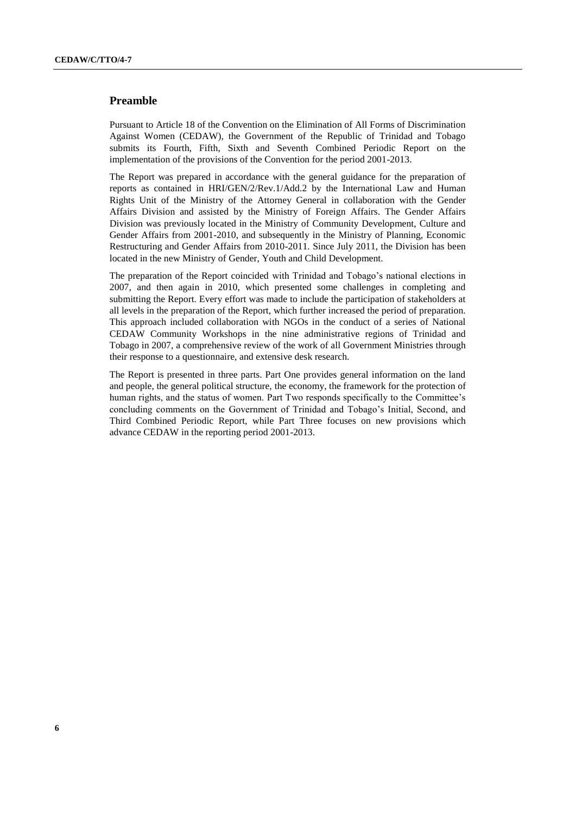## **Preamble**

Pursuant to Article 18 of the Convention on the Elimination of All Forms of Discrimination Against Women (CEDAW), the Government of the Republic of Trinidad and Tobago submits its Fourth, Fifth, Sixth and Seventh Combined Periodic Report on the implementation of the provisions of the Convention for the period 2001-2013.

The Report was prepared in accordance with the general guidance for the preparation of reports as contained in HRI/GEN/2/Rev.1/Add.2 by the International Law and Human Rights Unit of the Ministry of the Attorney General in collaboration with the Gender Affairs Division and assisted by the Ministry of Foreign Affairs. The Gender Affairs Division was previously located in the Ministry of Community Development, Culture and Gender Affairs from 2001-2010, and subsequently in the Ministry of Planning, Economic Restructuring and Gender Affairs from 2010-2011. Since July 2011, the Division has been located in the new Ministry of Gender, Youth and Child Development.

The preparation of the Report coincided with Trinidad and Tobago's national elections in 2007, and then again in 2010, which presented some challenges in completing and submitting the Report. Every effort was made to include the participation of stakeholders at all levels in the preparation of the Report, which further increased the period of preparation. This approach included collaboration with NGOs in the conduct of a series of National CEDAW Community Workshops in the nine administrative regions of Trinidad and Tobago in 2007, a comprehensive review of the work of all Government Ministries through their response to a questionnaire, and extensive desk research.

The Report is presented in three parts. Part One provides general information on the land and people, the general political structure, the economy, the framework for the protection of human rights, and the status of women. Part Two responds specifically to the Committee's concluding comments on the Government of Trinidad and Tobago's Initial, Second, and Third Combined Periodic Report, while Part Three focuses on new provisions which advance CEDAW in the reporting period 2001-2013.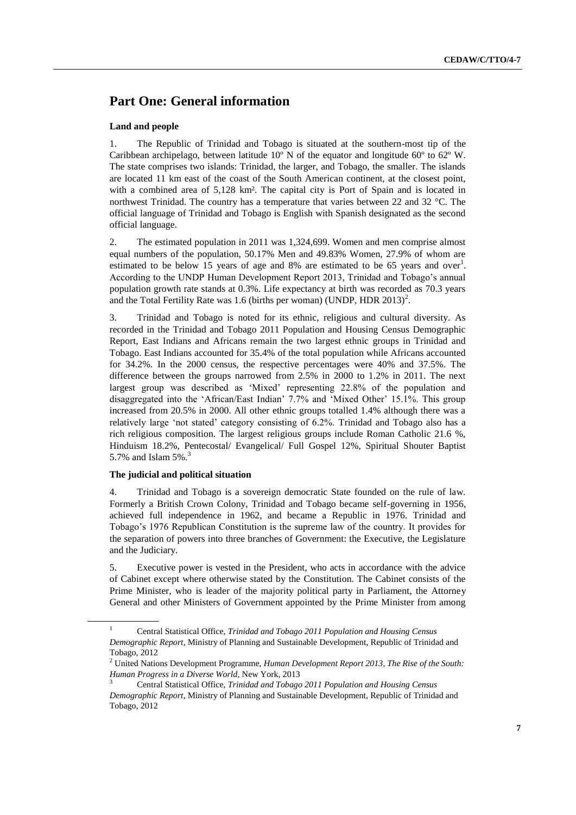## **Part One: General information**

#### **Land and people**

1. The Republic of Trinidad and Tobago is situated at the southern-most tip of the Caribbean archipelago, between latitude  $10^{\circ}$  N of the equator and longitude 60 $^{\circ}$  to 62 $^{\circ}$  W. The state comprises two islands: Trinidad, the larger, and Tobago, the smaller. The islands are located 11 km east of the coast of the South American continent, at the closest point, with a combined area of 5,128 km². The capital city is Port of Spain and is located in northwest Trinidad. The country has a temperature that varies between 22 and 32 °C. The official language of Trinidad and Tobago is English with Spanish designated as the second official language.

2. The estimated population in 2011 was 1,324,699. Women and men comprise almost equal numbers of the population, 50.17% Men and 49.83% Women, 27.9% of whom are estimated to be below 15 years of age and 8% are estimated to be 65 years and over<sup>1</sup>. According to the UNDP Human Development Report 2013, Trinidad and Tobago's annual population growth rate stands at 0.3%. Life expectancy at birth was recorded as 70.3 years and the Total Fertility Rate was 1.6 (births per woman) (UNDP, HDR  $2013$ )<sup>2</sup>.

3. Trinidad and Tobago is noted for its ethnic, religious and cultural diversity. As recorded in the Trinidad and Tobago 2011 Population and Housing Census Demographic Report, East Indians and Africans remain the two largest ethnic groups in Trinidad and Tobago. East Indians accounted for 35.4% of the total population while Africans accounted for 34.2%. In the 2000 census, the respective percentages were 40% and 37.5%. The difference between the groups narrowed from 2.5% in 2000 to 1.2% in 2011. The next largest group was described as 'Mixed' representing 22.8% of the population and disaggregated into the 'African/East Indian' 7.7% and 'Mixed Other' 15.1%. This group increased from 20.5% in 2000. All other ethnic groups totalled 1.4% although there was a relatively large 'not stated' category consisting of 6.2%. Trinidad and Tobago also has a rich religious composition. The largest religious groups include Roman Catholic 21.6 %, Hinduism 18.2%, Pentecostal/ Evangelical/ Full Gospel 12%, Spiritual Shouter Baptist 5.7% and Islam 5%. 3

#### **The judicial and political situation**

4. Trinidad and Tobago is a sovereign democratic State founded on the rule of law. Formerly a British Crown Colony, Trinidad and Tobago became self-governing in 1956, achieved full independence in 1962, and became a Republic in 1976. Trinidad and Tobago's 1976 Republican Constitution is the supreme law of the country. It provides for the separation of powers into three branches of Government: the Executive, the Legislature and the Judiciary.

5. Executive power is vested in the President, who acts in accordance with the advice of Cabinet except where otherwise stated by the Constitution. The Cabinet consists of the Prime Minister, who is leader of the majority political party in Parliament, the Attorney General and other Ministers of Government appointed by the Prime Minister from among

<sup>1</sup> Central Statistical Office, *Trinidad and Tobago 2011 Population and Housing Census* 

*Demographic Report*, Ministry of Planning and Sustainable Development, Republic of Trinidad and Tobago, 2012

<sup>2</sup> United Nations Development Programme, *Human Development Report 2013, The Rise of the South: Human Progress in a Diverse World*, New York, 2013

<sup>3</sup> Central Statistical Office, *Trinidad and Tobago 2011 Population and Housing Census Demographic Report*, Ministry of Planning and Sustainable Development, Republic of Trinidad and Tobago, 2012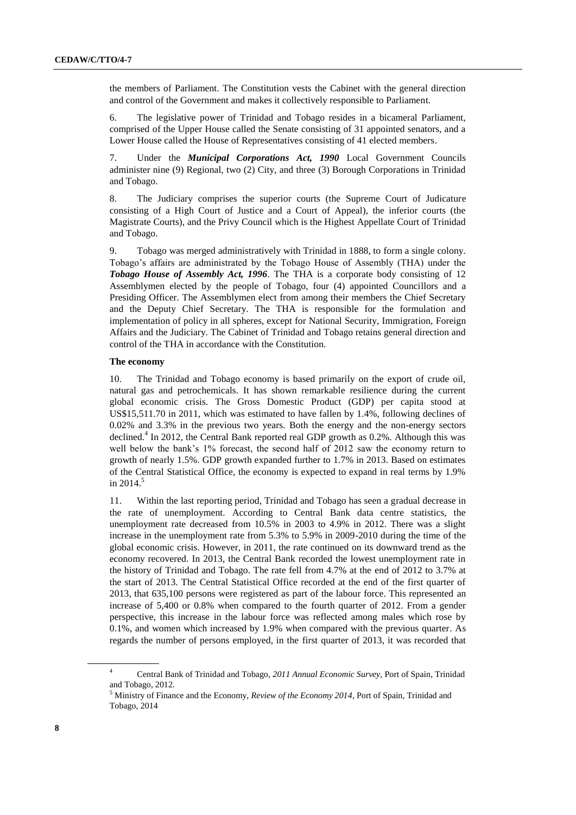the members of Parliament. The Constitution vests the Cabinet with the general direction and control of the Government and makes it collectively responsible to Parliament.

6. The legislative power of Trinidad and Tobago resides in a bicameral Parliament, comprised of the Upper House called the Senate consisting of 31 appointed senators, and a Lower House called the House of Representatives consisting of 41 elected members.

7. Under the *Municipal Corporations Act, 1990* Local Government Councils administer nine (9) Regional, two (2) City, and three (3) Borough Corporations in Trinidad and Tobago.

8. The Judiciary comprises the superior courts (the Supreme Court of Judicature consisting of a High Court of Justice and a Court of Appeal), the inferior courts (the Magistrate Courts), and the Privy Council which is the Highest Appellate Court of Trinidad and Tobago.

9. Tobago was merged administratively with Trinidad in 1888, to form a single colony. Tobago's affairs are administrated by the Tobago House of Assembly (THA) under the *Tobago House of Assembly Act, 1996*. The THA is a corporate body consisting of 12 Assemblymen elected by the people of Tobago, four (4) appointed Councillors and a Presiding Officer. The Assemblymen elect from among their members the Chief Secretary and the Deputy Chief Secretary. The THA is responsible for the formulation and implementation of policy in all spheres, except for National Security, Immigration, Foreign Affairs and the Judiciary. The Cabinet of Trinidad and Tobago retains general direction and control of the THA in accordance with the Constitution.

#### **The economy**

10. The Trinidad and Tobago economy is based primarily on the export of crude oil, natural gas and petrochemicals. It has shown remarkable resilience during the current global economic crisis. The Gross Domestic Product (GDP) per capita stood at US\$15,511.70 in 2011, which was estimated to have fallen by 1.4%, following declines of 0.02% and 3.3% in the previous two years. Both the energy and the non-energy sectors declined.<sup>4</sup> In 2012, the Central Bank reported real GDP growth as 0.2%. Although this was well below the bank's 1% forecast, the second half of 2012 saw the economy return to growth of nearly 1.5%. GDP growth expanded further to 1.7% in 2013. Based on estimates of the Central Statistical Office, the economy is expected to expand in real terms by 1.9% in 2014.<sup>5</sup>

11. Within the last reporting period, Trinidad and Tobago has seen a gradual decrease in the rate of unemployment. According to Central Bank data centre statistics, the unemployment rate decreased from 10.5% in 2003 to 4.9% in 2012. There was a slight increase in the unemployment rate from 5.3% to 5.9% in 2009-2010 during the time of the global economic crisis. However, in 2011, the rate continued on its downward trend as the economy recovered. In 2013, the Central Bank recorded the lowest unemployment rate in the history of Trinidad and Tobago. The rate fell from 4.7% at the end of 2012 to 3.7% at the start of 2013. The Central Statistical Office recorded at the end of the first quarter of 2013, that 635,100 persons were registered as part of the labour force. This represented an increase of 5,400 or 0.8% when compared to the fourth quarter of 2012. From a gender perspective, this increase in the labour force was reflected among males which rose by 0.1%, and women which increased by 1.9% when compared with the previous quarter. As regards the number of persons employed, in the first quarter of 2013, it was recorded that

<sup>4</sup> Central Bank of Trinidad and Tobago, *2011 Annual Economic Survey*, Port of Spain, Trinidad and Tobago, 2012.

<sup>5</sup> Ministry of Finance and the Economy, *Review of the Economy 2014*, Port of Spain, Trinidad and Tobago, 2014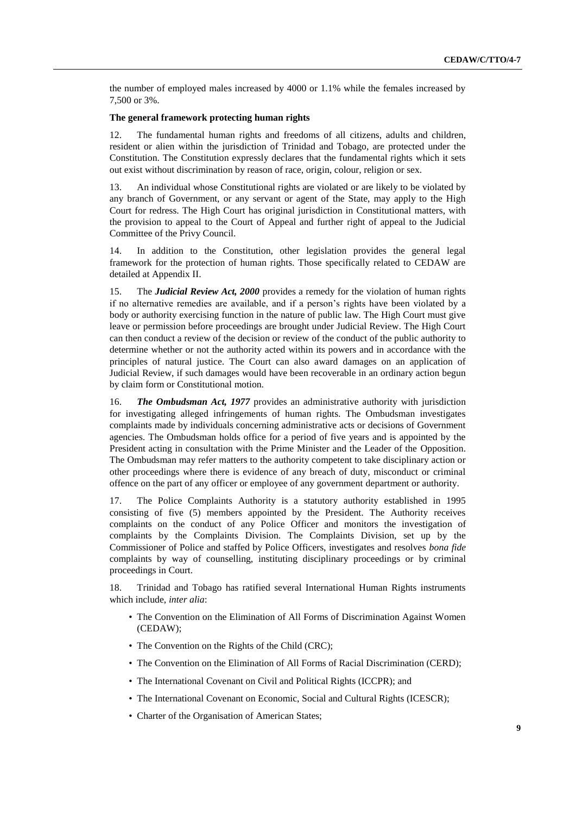the number of employed males increased by 4000 or 1.1% while the females increased by 7,500 or 3%.

#### **The general framework protecting human rights**

12. The fundamental human rights and freedoms of all citizens, adults and children, resident or alien within the jurisdiction of Trinidad and Tobago, are protected under the Constitution. The Constitution expressly declares that the fundamental rights which it sets out exist without discrimination by reason of race, origin, colour, religion or sex.

13. An individual whose Constitutional rights are violated or are likely to be violated by any branch of Government, or any servant or agent of the State, may apply to the High Court for redress. The High Court has original jurisdiction in Constitutional matters, with the provision to appeal to the Court of Appeal and further right of appeal to the Judicial Committee of the Privy Council.

14. In addition to the Constitution, other legislation provides the general legal framework for the protection of human rights. Those specifically related to CEDAW are detailed at Appendix II.

15. The *Judicial Review Act, 2000* provides a remedy for the violation of human rights if no alternative remedies are available, and if a person's rights have been violated by a body or authority exercising function in the nature of public law. The High Court must give leave or permission before proceedings are brought under Judicial Review. The High Court can then conduct a review of the decision or review of the conduct of the public authority to determine whether or not the authority acted within its powers and in accordance with the principles of natural justice. The Court can also award damages on an application of Judicial Review, if such damages would have been recoverable in an ordinary action begun by claim form or Constitutional motion.

16. *The Ombudsman Act, 1977* provides an administrative authority with jurisdiction for investigating alleged infringements of human rights. The Ombudsman investigates complaints made by individuals concerning administrative acts or decisions of Government agencies. The Ombudsman holds office for a period of five years and is appointed by the President acting in consultation with the Prime Minister and the Leader of the Opposition. The Ombudsman may refer matters to the authority competent to take disciplinary action or other proceedings where there is evidence of any breach of duty, misconduct or criminal offence on the part of any officer or employee of any government department or authority.

17. The Police Complaints Authority is a statutory authority established in 1995 consisting of five (5) members appointed by the President. The Authority receives complaints on the conduct of any Police Officer and monitors the investigation of complaints by the Complaints Division. The Complaints Division, set up by the Commissioner of Police and staffed by Police Officers, investigates and resolves *bona fide* complaints by way of counselling, instituting disciplinary proceedings or by criminal proceedings in Court.

18. Trinidad and Tobago has ratified several International Human Rights instruments which include, *inter alia*:

- The Convention on the Elimination of All Forms of Discrimination Against Women (CEDAW);
- The Convention on the Rights of the Child (CRC);
- The Convention on the Elimination of All Forms of Racial Discrimination (CERD);
- The International Covenant on Civil and Political Rights (ICCPR); and
- The International Covenant on Economic, Social and Cultural Rights (ICESCR);
- Charter of the Organisation of American States;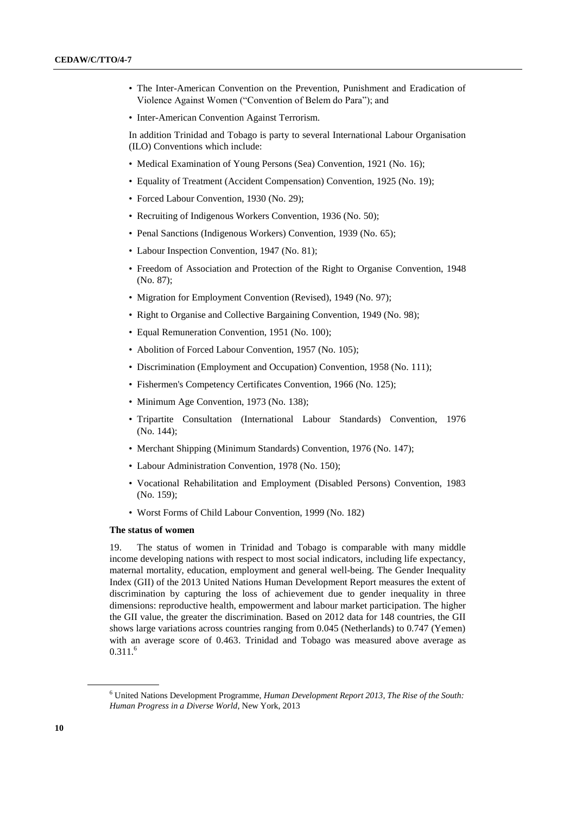- The Inter-American Convention on the Prevention, Punishment and Eradication of Violence Against Women ("Convention of Belem do Para"); and
- Inter-American Convention Against Terrorism.

In addition Trinidad and Tobago is party to several International Labour Organisation (ILO) Conventions which include:

- Medical Examination of Young Persons (Sea) Convention, 1921 (No. 16);
- Equality of Treatment (Accident Compensation) Convention, 1925 (No. 19);
- Forced Labour Convention, 1930 (No. 29);
- Recruiting of Indigenous Workers Convention, 1936 (No. 50);
- Penal Sanctions (Indigenous Workers) Convention, 1939 (No. 65);
- Labour Inspection Convention, 1947 (No. 81);
- Freedom of Association and Protection of the Right to Organise Convention, 1948 (No. 87);
- Migration for Employment Convention (Revised), 1949 (No. 97);
- Right to Organise and Collective Bargaining Convention, 1949 (No. 98);
- Equal Remuneration Convention, 1951 (No. 100);
- Abolition of Forced Labour Convention, 1957 (No. 105);
- Discrimination (Employment and Occupation) Convention, 1958 (No. 111);
- Fishermen's Competency Certificates Convention, 1966 (No. 125);
- Minimum Age Convention, 1973 (No. 138);
- Tripartite Consultation (International Labour Standards) Convention, 1976 (No. 144);
- Merchant Shipping (Minimum Standards) Convention, 1976 (No. 147);
- Labour Administration Convention, 1978 (No. 150);
- Vocational Rehabilitation and Employment (Disabled Persons) Convention, 1983 (No. 159);
- Worst Forms of Child Labour Convention, 1999 (No. 182)

#### **The status of women**

19. The status of women in Trinidad and Tobago is comparable with many middle income developing nations with respect to most social indicators, including life expectancy, maternal mortality, education, employment and general well-being. The Gender Inequality Index (GII) of the 2013 United Nations Human Development Report measures the extent of discrimination by capturing the loss of achievement due to gender inequality in three dimensions: reproductive health, empowerment and labour market participation. The higher the GII value, the greater the discrimination. Based on 2012 data for 148 countries, the GII shows large variations across countries ranging from 0.045 (Netherlands) to 0.747 (Yemen) with an average score of 0.463. Trinidad and Tobago was measured above average as  $0.311.<sup>6</sup>$ 

<sup>6</sup> United Nations Development Programme, *Human Development Report 2013, The Rise of the South: Human Progress in a Diverse World*, New York, 2013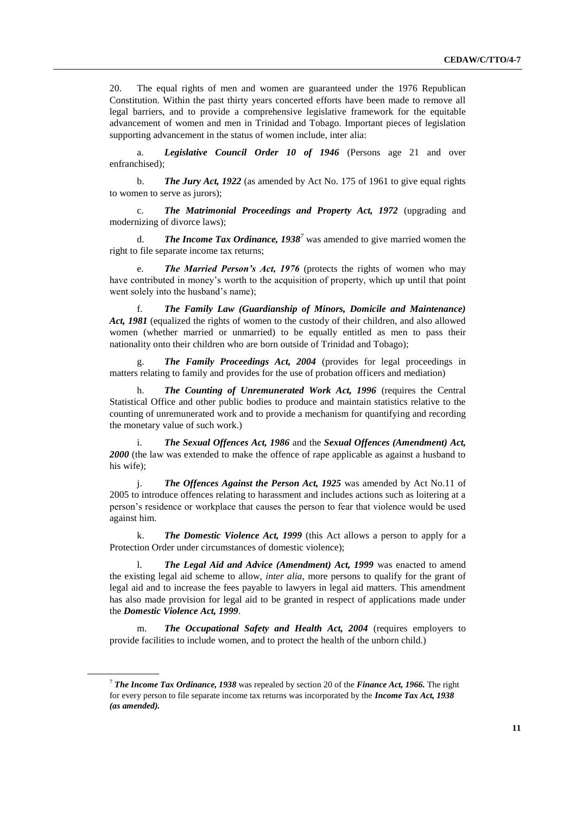20. The equal rights of men and women are guaranteed under the 1976 Republican Constitution. Within the past thirty years concerted efforts have been made to remove all legal barriers, and to provide a comprehensive legislative framework for the equitable advancement of women and men in Trinidad and Tobago. Important pieces of legislation supporting advancement in the status of women include, inter alia:

a. *Legislative Council Order 10 of 1946* (Persons age 21 and over enfranchised);

b. *The Jury Act, 1922* (as amended by Act No. 175 of 1961 to give equal rights to women to serve as jurors);

c. *The Matrimonial Proceedings and Property Act, 1972* (upgrading and modernizing of divorce laws);

d. *The Income Tax Ordinance, 1938<sup>7</sup>* was amended to give married women the right to file separate income tax returns;

e. *The Married Person's Act, 1976* (protects the rights of women who may have contributed in money's worth to the acquisition of property, which up until that point went solely into the husband's name);

f. *The Family Law (Guardianship of Minors, Domicile and Maintenance)*  Act, 1981 (equalized the rights of women to the custody of their children, and also allowed women (whether married or unmarried) to be equally entitled as men to pass their nationality onto their children who are born outside of Trinidad and Tobago);

g. *The Family Proceedings Act, 2004* (provides for legal proceedings in matters relating to family and provides for the use of probation officers and mediation)

h. *The Counting of Unremunerated Work Act, 1996* (requires the Central Statistical Office and other public bodies to produce and maintain statistics relative to the counting of unremunerated work and to provide a mechanism for quantifying and recording the monetary value of such work.)

i. *The Sexual Offences Act, 1986* and the *Sexual Offences (Amendment) Act, 2000* (the law was extended to make the offence of rape applicable as against a husband to his wife);

j. *The Offences Against the Person Act, 1925* was amended by Act No.11 of 2005 to introduce offences relating to harassment and includes actions such as loitering at a person's residence or workplace that causes the person to fear that violence would be used against him.

k. *The Domestic Violence Act, 1999* (this Act allows a person to apply for a Protection Order under circumstances of domestic violence);

l. *The Legal Aid and Advice (Amendment) Act, 1999* was enacted to amend the existing legal aid scheme to allow, *inter alia*, more persons to qualify for the grant of legal aid and to increase the fees payable to lawyers in legal aid matters. This amendment has also made provision for legal aid to be granted in respect of applications made under the *Domestic Violence Act, 1999*.

m. *The Occupational Safety and Health Act, 2004* (requires employers to provide facilities to include women, and to protect the health of the unborn child.)

<sup>7</sup> *The Income Tax Ordinance, 1938* was repealed by section 20 of the *Finance Act, 1966.* The right for every person to file separate income tax returns was incorporated by the *Income Tax Act, 1938 (as amended).*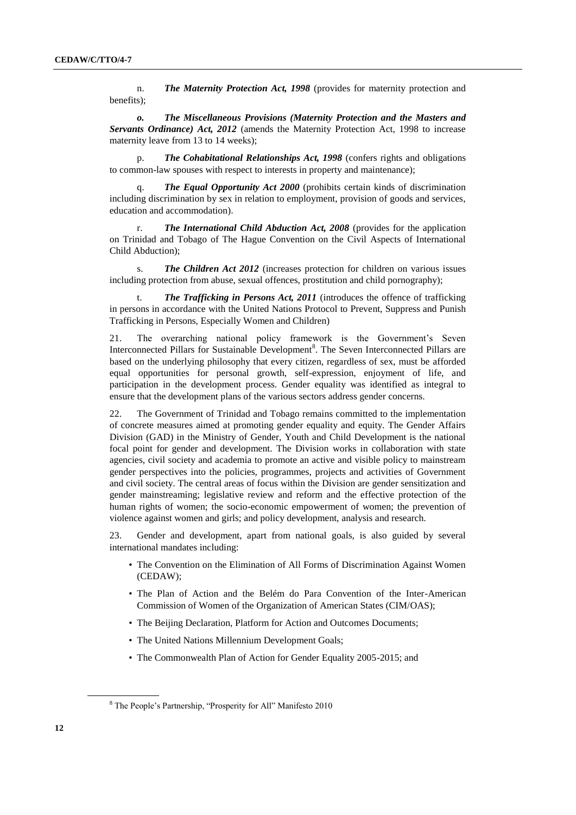n. *The Maternity Protection Act, 1998* (provides for maternity protection and benefits);

*o. The Miscellaneous Provisions (Maternity Protection and the Masters and Servants Ordinance) Act, 2012* (amends the Maternity Protection Act, 1998 to increase maternity leave from 13 to 14 weeks);

p. *The Cohabitational Relationships Act, 1998* (confers rights and obligations to common-law spouses with respect to interests in property and maintenance);

**The Equal Opportunity Act 2000** (prohibits certain kinds of discrimination including discrimination by sex in relation to employment, provision of goods and services, education and accommodation).

**The International Child Abduction Act, 2008** (provides for the application on Trinidad and Tobago of The Hague Convention on the Civil Aspects of International Child Abduction);

s. *The Children Act 2012* (increases protection for children on various issues including protection from abuse, sexual offences, prostitution and child pornography);

The Trafficking in Persons Act, 2011 (introduces the offence of trafficking in persons in accordance with the United Nations Protocol to Prevent, Suppress and Punish Trafficking in Persons, Especially Women and Children)

21. The overarching national policy framework is the Government's Seven Interconnected Pillars for Sustainable Development<sup>8</sup>. The Seven Interconnected Pillars are based on the underlying philosophy that every citizen, regardless of sex, must be afforded equal opportunities for personal growth, self-expression, enjoyment of life, and participation in the development process. Gender equality was identified as integral to ensure that the development plans of the various sectors address gender concerns.

22. The Government of Trinidad and Tobago remains committed to the implementation of concrete measures aimed at promoting gender equality and equity. The Gender Affairs Division (GAD) in the Ministry of Gender, Youth and Child Development is the national focal point for gender and development. The Division works in collaboration with state agencies, civil society and academia to promote an active and visible policy to mainstream gender perspectives into the policies, programmes, projects and activities of Government and civil society. The central areas of focus within the Division are gender sensitization and gender mainstreaming; legislative review and reform and the effective protection of the human rights of women; the socio-economic empowerment of women; the prevention of violence against women and girls; and policy development, analysis and research.

23. Gender and development, apart from national goals, is also guided by several international mandates including:

- The Convention on the Elimination of All Forms of Discrimination Against Women (CEDAW);
- The Plan of Action and the Belém do Para Convention of the Inter-American Commission of Women of the Organization of American States (CIM/OAS);
- The Beijing Declaration, Platform for Action and Outcomes Documents;
- The United Nations Millennium Development Goals;
- The Commonwealth Plan of Action for Gender Equality 2005-2015; and

<sup>8</sup> The People's Partnership, "Prosperity for All" Manifesto 2010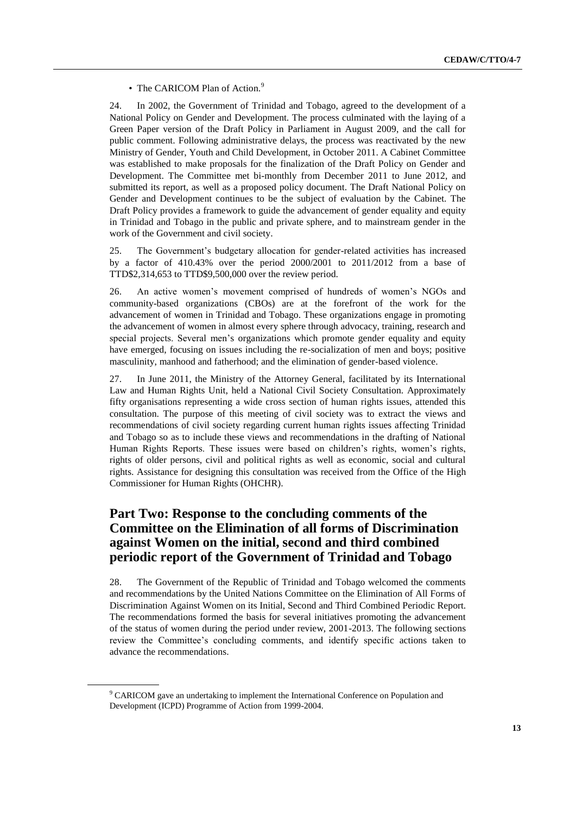• The CARICOM Plan of Action.<sup>9</sup>

24. In 2002, the Government of Trinidad and Tobago, agreed to the development of a National Policy on Gender and Development. The process culminated with the laying of a Green Paper version of the Draft Policy in Parliament in August 2009, and the call for public comment. Following administrative delays, the process was reactivated by the new Ministry of Gender, Youth and Child Development, in October 2011. A Cabinet Committee was established to make proposals for the finalization of the Draft Policy on Gender and Development. The Committee met bi-monthly from December 2011 to June 2012, and submitted its report, as well as a proposed policy document. The Draft National Policy on Gender and Development continues to be the subject of evaluation by the Cabinet. The Draft Policy provides a framework to guide the advancement of gender equality and equity in Trinidad and Tobago in the public and private sphere, and to mainstream gender in the work of the Government and civil society.

25. The Government's budgetary allocation for gender-related activities has increased by a factor of 410.43% over the period 2000/2001 to 2011/2012 from a base of TTD\$2,314,653 to TTD\$9,500,000 over the review period.

26. An active women's movement comprised of hundreds of women's NGOs and community-based organizations (CBOs) are at the forefront of the work for the advancement of women in Trinidad and Tobago. These organizations engage in promoting the advancement of women in almost every sphere through advocacy, training, research and special projects. Several men's organizations which promote gender equality and equity have emerged, focusing on issues including the re-socialization of men and boys; positive masculinity, manhood and fatherhood; and the elimination of gender-based violence.

27. In June 2011, the Ministry of the Attorney General, facilitated by its International Law and Human Rights Unit, held a National Civil Society Consultation. Approximately fifty organisations representing a wide cross section of human rights issues, attended this consultation. The purpose of this meeting of civil society was to extract the views and recommendations of civil society regarding current human rights issues affecting Trinidad and Tobago so as to include these views and recommendations in the drafting of National Human Rights Reports. These issues were based on children's rights, women's rights, rights of older persons, civil and political rights as well as economic, social and cultural rights. Assistance for designing this consultation was received from the Office of the High Commissioner for Human Rights (OHCHR).

## **Part Two: Response to the concluding comments of the Committee on the Elimination of all forms of Discrimination against Women on the initial, second and third combined periodic report of the Government of Trinidad and Tobago**

28. The Government of the Republic of Trinidad and Tobago welcomed the comments and recommendations by the United Nations Committee on the Elimination of All Forms of Discrimination Against Women on its Initial, Second and Third Combined Periodic Report. The recommendations formed the basis for several initiatives promoting the advancement of the status of women during the period under review, 2001-2013. The following sections review the Committee's concluding comments, and identify specific actions taken to advance the recommendations.

<sup>9</sup> CARICOM gave an undertaking to implement the International Conference on Population and Development (ICPD) Programme of Action from 1999-2004.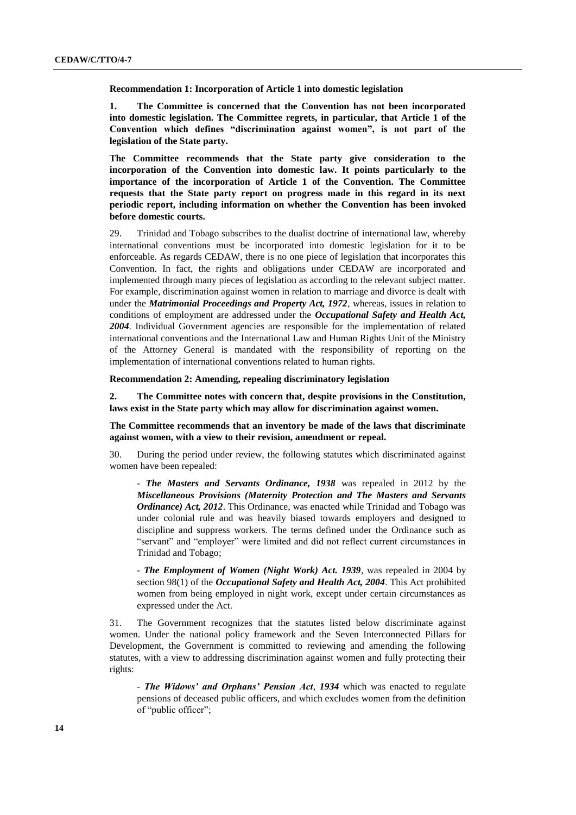**Recommendation 1: Incorporation of Article 1 into domestic legislation**

**1. The Committee is concerned that the Convention has not been incorporated into domestic legislation. The Committee regrets, in particular, that Article 1 of the Convention which defines "discrimination against women", is not part of the legislation of the State party.**

**The Committee recommends that the State party give consideration to the incorporation of the Convention into domestic law. It points particularly to the importance of the incorporation of Article 1 of the Convention. The Committee requests that the State party report on progress made in this regard in its next periodic report, including information on whether the Convention has been invoked before domestic courts.**

29. Trinidad and Tobago subscribes to the dualist doctrine of international law, whereby international conventions must be incorporated into domestic legislation for it to be enforceable. As regards CEDAW, there is no one piece of legislation that incorporates this Convention. In fact, the rights and obligations under CEDAW are incorporated and implemented through many pieces of legislation as according to the relevant subject matter. For example, discrimination against women in relation to marriage and divorce is dealt with under the *Matrimonial Proceedings and Property Act, 1972*, whereas, issues in relation to conditions of employment are addressed under the *Occupational Safety and Health Act, 2004*. Individual Government agencies are responsible for the implementation of related international conventions and the International Law and Human Rights Unit of the Ministry of the Attorney General is mandated with the responsibility of reporting on the implementation of international conventions related to human rights.

**Recommendation 2: Amending, repealing discriminatory legislation**

**2. The Committee notes with concern that, despite provisions in the Constitution, laws exist in the State party which may allow for discrimination against women.**

**The Committee recommends that an inventory be made of the laws that discriminate against women, with a view to their revision, amendment or repeal.**

30. During the period under review, the following statutes which discriminated against women have been repealed:

- *The Masters and Servants Ordinance, 1938* was repealed in 2012 by the *Miscellaneous Provisions (Maternity Protection and The Masters and Servants Ordinance) Act, 2012*. This Ordinance, was enacted while Trinidad and Tobago was under colonial rule and was heavily biased towards employers and designed to discipline and suppress workers. The terms defined under the Ordinance such as "servant" and "employer" were limited and did not reflect current circumstances in Trinidad and Tobago;

- *The Employment of Women (Night Work) Act. 1939*, was repealed in 2004 by section 98(1) of the *Occupational Safety and Health Act, 2004*. This Act prohibited women from being employed in night work, except under certain circumstances as expressed under the Act.

31. The Government recognizes that the statutes listed below discriminate against women. Under the national policy framework and the Seven Interconnected Pillars for Development, the Government is committed to reviewing and amending the following statutes, with a view to addressing discrimination against women and fully protecting their rights:

- *The Widows' and Orphans' Pension Act*, *1934* which was enacted to regulate pensions of deceased public officers, and which excludes women from the definition of "public officer";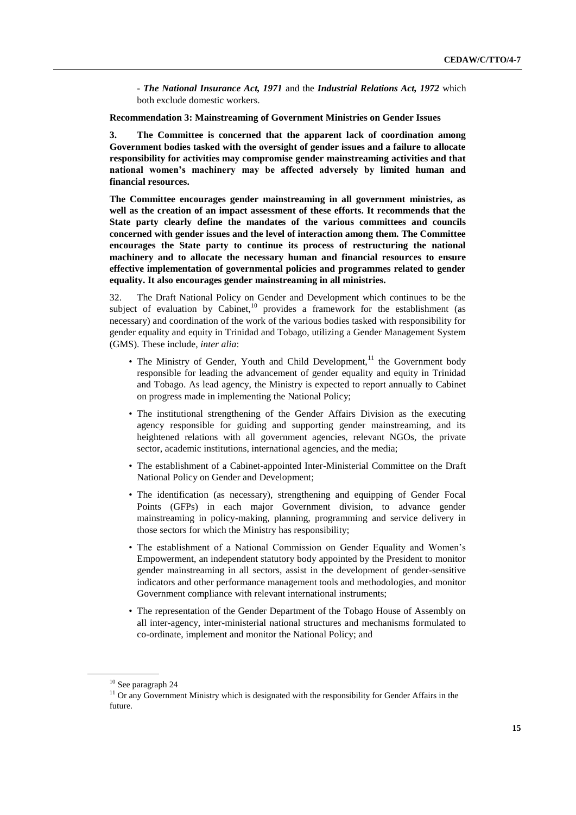- *The National Insurance Act, 1971* and the *Industrial Relations Act, 1972* which both exclude domestic workers.

**Recommendation 3: Mainstreaming of Government Ministries on Gender Issues**

**3. The Committee is concerned that the apparent lack of coordination among Government bodies tasked with the oversight of gender issues and a failure to allocate responsibility for activities may compromise gender mainstreaming activities and that national women's machinery may be affected adversely by limited human and financial resources.**

**The Committee encourages gender mainstreaming in all government ministries, as well as the creation of an impact assessment of these efforts. It recommends that the State party clearly define the mandates of the various committees and councils concerned with gender issues and the level of interaction among them. The Committee encourages the State party to continue its process of restructuring the national machinery and to allocate the necessary human and financial resources to ensure effective implementation of governmental policies and programmes related to gender equality. It also encourages gender mainstreaming in all ministries.**

32. The Draft National Policy on Gender and Development which continues to be the subject of evaluation by Cabinet,<sup>10</sup> provides a framework for the establishment (as necessary) and coordination of the work of the various bodies tasked with responsibility for gender equality and equity in Trinidad and Tobago, utilizing a Gender Management System (GMS). These include, *inter alia*:

- The Ministry of Gender, Youth and Child Development,<sup>11</sup> the Government body responsible for leading the advancement of gender equality and equity in Trinidad and Tobago. As lead agency, the Ministry is expected to report annually to Cabinet on progress made in implementing the National Policy;
- The institutional strengthening of the Gender Affairs Division as the executing agency responsible for guiding and supporting gender mainstreaming, and its heightened relations with all government agencies, relevant NGOs, the private sector, academic institutions, international agencies, and the media;
- The establishment of a Cabinet-appointed Inter-Ministerial Committee on the Draft National Policy on Gender and Development;
- The identification (as necessary), strengthening and equipping of Gender Focal Points (GFPs) in each major Government division, to advance gender mainstreaming in policy-making, planning, programming and service delivery in those sectors for which the Ministry has responsibility;
- The establishment of a National Commission on Gender Equality and Women's Empowerment, an independent statutory body appointed by the President to monitor gender mainstreaming in all sectors, assist in the development of gender-sensitive indicators and other performance management tools and methodologies, and monitor Government compliance with relevant international instruments;
- The representation of the Gender Department of the Tobago House of Assembly on all inter-agency, inter-ministerial national structures and mechanisms formulated to co-ordinate, implement and monitor the National Policy; and

<sup>10</sup> See paragraph 24

<sup>&</sup>lt;sup>11</sup> Or any Government Ministry which is designated with the responsibility for Gender Affairs in the future.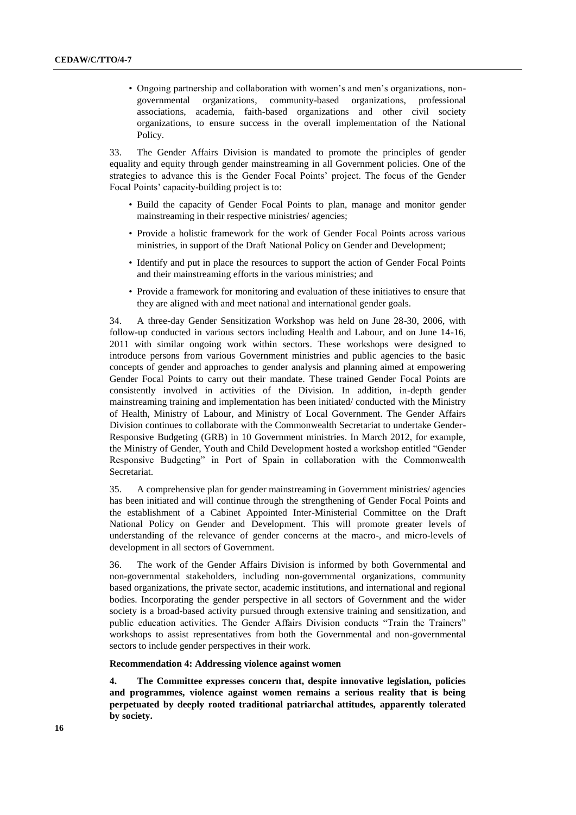• Ongoing partnership and collaboration with women's and men's organizations, nongovernmental organizations, community-based organizations, professional associations, academia, faith-based organizations and other civil society organizations, to ensure success in the overall implementation of the National Policy.

33. The Gender Affairs Division is mandated to promote the principles of gender equality and equity through gender mainstreaming in all Government policies. One of the strategies to advance this is the Gender Focal Points' project. The focus of the Gender Focal Points' capacity-building project is to:

- Build the capacity of Gender Focal Points to plan, manage and monitor gender mainstreaming in their respective ministries/ agencies;
- Provide a holistic framework for the work of Gender Focal Points across various ministries, in support of the Draft National Policy on Gender and Development;
- Identify and put in place the resources to support the action of Gender Focal Points and their mainstreaming efforts in the various ministries; and
- Provide a framework for monitoring and evaluation of these initiatives to ensure that they are aligned with and meet national and international gender goals.

34. A three-day Gender Sensitization Workshop was held on June 28-30, 2006, with follow-up conducted in various sectors including Health and Labour, and on June 14-16, 2011 with similar ongoing work within sectors. These workshops were designed to introduce persons from various Government ministries and public agencies to the basic concepts of gender and approaches to gender analysis and planning aimed at empowering Gender Focal Points to carry out their mandate. These trained Gender Focal Points are consistently involved in activities of the Division. In addition, in-depth gender mainstreaming training and implementation has been initiated/ conducted with the Ministry of Health, Ministry of Labour, and Ministry of Local Government. The Gender Affairs Division continues to collaborate with the Commonwealth Secretariat to undertake Gender-Responsive Budgeting (GRB) in 10 Government ministries. In March 2012, for example, the Ministry of Gender, Youth and Child Development hosted a workshop entitled "Gender Responsive Budgeting" in Port of Spain in collaboration with the Commonwealth Secretariat.

35. A comprehensive plan for gender mainstreaming in Government ministries/ agencies has been initiated and will continue through the strengthening of Gender Focal Points and the establishment of a Cabinet Appointed Inter-Ministerial Committee on the Draft National Policy on Gender and Development. This will promote greater levels of understanding of the relevance of gender concerns at the macro-, and micro-levels of development in all sectors of Government.

36. The work of the Gender Affairs Division is informed by both Governmental and non-governmental stakeholders, including non-governmental organizations, community based organizations, the private sector, academic institutions, and international and regional bodies. Incorporating the gender perspective in all sectors of Government and the wider society is a broad-based activity pursued through extensive training and sensitization, and public education activities. The Gender Affairs Division conducts "Train the Trainers" workshops to assist representatives from both the Governmental and non-governmental sectors to include gender perspectives in their work.

**Recommendation 4: Addressing violence against women**

**4. The Committee expresses concern that, despite innovative legislation, policies and programmes, violence against women remains a serious reality that is being perpetuated by deeply rooted traditional patriarchal attitudes, apparently tolerated by society.**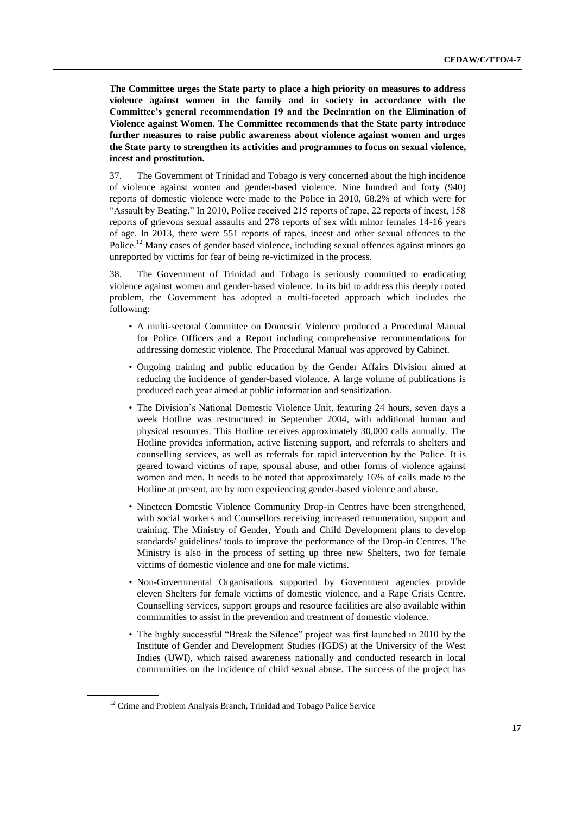**The Committee urges the State party to place a high priority on measures to address violence against women in the family and in society in accordance with the Committee's general recommendation 19 and the Declaration on the Elimination of Violence against Women. The Committee recommends that the State party introduce further measures to raise public awareness about violence against women and urges the State party to strengthen its activities and programmes to focus on sexual violence, incest and prostitution.**

37. The Government of Trinidad and Tobago is very concerned about the high incidence of violence against women and gender-based violence. Nine hundred and forty (940) reports of domestic violence were made to the Police in 2010, 68.2% of which were for "Assault by Beating." In 2010, Police received 215 reports of rape, 22 reports of incest, 158 reports of grievous sexual assaults and 278 reports of sex with minor females 14-16 years of age. In 2013, there were 551 reports of rapes, incest and other sexual offences to the Police.<sup>12</sup> Many cases of gender based violence, including sexual offences against minors go unreported by victims for fear of being re-victimized in the process.

38. The Government of Trinidad and Tobago is seriously committed to eradicating violence against women and gender-based violence. In its bid to address this deeply rooted problem, the Government has adopted a multi-faceted approach which includes the following:

- A multi-sectoral Committee on Domestic Violence produced a Procedural Manual for Police Officers and a Report including comprehensive recommendations for addressing domestic violence. The Procedural Manual was approved by Cabinet.
- Ongoing training and public education by the Gender Affairs Division aimed at reducing the incidence of gender-based violence. A large volume of publications is produced each year aimed at public information and sensitization.
- The Division's National Domestic Violence Unit, featuring 24 hours, seven days a week Hotline was restructured in September 2004, with additional human and physical resources. This Hotline receives approximately 30,000 calls annually. The Hotline provides information, active listening support, and referrals to shelters and counselling services, as well as referrals for rapid intervention by the Police. It is geared toward victims of rape, spousal abuse, and other forms of violence against women and men. It needs to be noted that approximately 16% of calls made to the Hotline at present, are by men experiencing gender-based violence and abuse.
- Nineteen Domestic Violence Community Drop-in Centres have been strengthened, with social workers and Counsellors receiving increased remuneration, support and training. The Ministry of Gender, Youth and Child Development plans to develop standards/ guidelines/ tools to improve the performance of the Drop-in Centres. The Ministry is also in the process of setting up three new Shelters, two for female victims of domestic violence and one for male victims.
- Non-Governmental Organisations supported by Government agencies provide eleven Shelters for female victims of domestic violence, and a Rape Crisis Centre. Counselling services, support groups and resource facilities are also available within communities to assist in the prevention and treatment of domestic violence.
- The highly successful "Break the Silence" project was first launched in 2010 by the Institute of Gender and Development Studies (IGDS) at the University of the West Indies (UWI), which raised awareness nationally and conducted research in local communities on the incidence of child sexual abuse. The success of the project has

<sup>&</sup>lt;sup>12</sup> Crime and Problem Analysis Branch, Trinidad and Tobago Police Service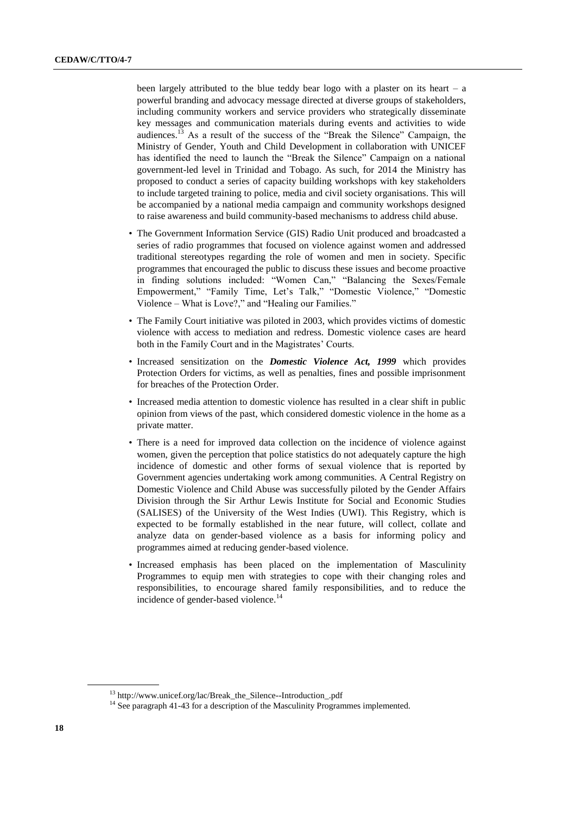been largely attributed to the blue teddy bear logo with a plaster on its heart – a powerful branding and advocacy message directed at diverse groups of stakeholders, including community workers and service providers who strategically disseminate key messages and communication materials during events and activities to wide audiences.<sup>13</sup> As a result of the success of the "Break the Silence" Campaign, the Ministry of Gender, Youth and Child Development in collaboration with UNICEF has identified the need to launch the "Break the Silence" Campaign on a national government-led level in Trinidad and Tobago. As such, for 2014 the Ministry has proposed to conduct a series of capacity building workshops with key stakeholders to include targeted training to police, media and civil society organisations. This will be accompanied by a national media campaign and community workshops designed to raise awareness and build community-based mechanisms to address child abuse.

- The Government Information Service (GIS) Radio Unit produced and broadcasted a series of radio programmes that focused on violence against women and addressed traditional stereotypes regarding the role of women and men in society. Specific programmes that encouraged the public to discuss these issues and become proactive in finding solutions included: "Women Can," "Balancing the Sexes/Female Empowerment," "Family Time, Let's Talk," "Domestic Violence," "Domestic Violence – What is Love?," and "Healing our Families."
- The Family Court initiative was piloted in 2003, which provides victims of domestic violence with access to mediation and redress. Domestic violence cases are heard both in the Family Court and in the Magistrates' Courts.
- Increased sensitization on the *Domestic Violence Act, 1999* which provides Protection Orders for victims, as well as penalties, fines and possible imprisonment for breaches of the Protection Order.
- Increased media attention to domestic violence has resulted in a clear shift in public opinion from views of the past, which considered domestic violence in the home as a private matter.
- There is a need for improved data collection on the incidence of violence against women, given the perception that police statistics do not adequately capture the high incidence of domestic and other forms of sexual violence that is reported by Government agencies undertaking work among communities. A Central Registry on Domestic Violence and Child Abuse was successfully piloted by the Gender Affairs Division through the Sir Arthur Lewis Institute for Social and Economic Studies (SALISES) of the University of the West Indies (UWI). This Registry, which is expected to be formally established in the near future, will collect, collate and analyze data on gender-based violence as a basis for informing policy and programmes aimed at reducing gender-based violence.
- Increased emphasis has been placed on the implementation of Masculinity Programmes to equip men with strategies to cope with their changing roles and responsibilities, to encourage shared family responsibilities, and to reduce the incidence of gender-based violence.<sup>14</sup>

<sup>13</sup> http://www.unicef.org/lac/Break\_the\_Silence--Introduction\_.pdf

 $14$  See paragraph 41-43 for a description of the Masculinity Programmes implemented.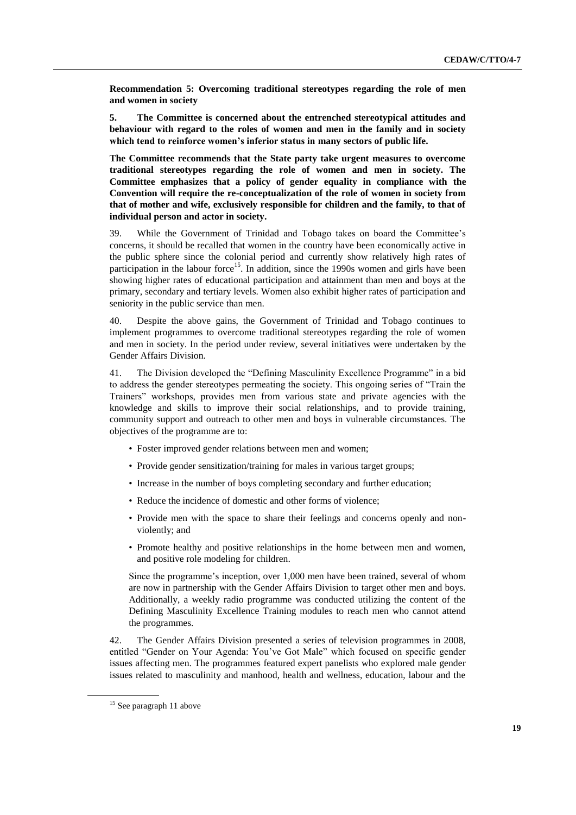**Recommendation 5: Overcoming traditional stereotypes regarding the role of men and women in society**

**5. The Committee is concerned about the entrenched stereotypical attitudes and behaviour with regard to the roles of women and men in the family and in society which tend to reinforce women's inferior status in many sectors of public life.**

**The Committee recommends that the State party take urgent measures to overcome traditional stereotypes regarding the role of women and men in society. The Committee emphasizes that a policy of gender equality in compliance with the Convention will require the re-conceptualization of the role of women in society from that of mother and wife, exclusively responsible for children and the family, to that of individual person and actor in society.**

39. While the Government of Trinidad and Tobago takes on board the Committee's concerns, it should be recalled that women in the country have been economically active in the public sphere since the colonial period and currently show relatively high rates of participation in the labour force<sup>15</sup>. In addition, since the 1990s women and girls have been showing higher rates of educational participation and attainment than men and boys at the primary, secondary and tertiary levels. Women also exhibit higher rates of participation and seniority in the public service than men.

40. Despite the above gains, the Government of Trinidad and Tobago continues to implement programmes to overcome traditional stereotypes regarding the role of women and men in society. In the period under review, several initiatives were undertaken by the Gender Affairs Division.

41. The Division developed the "Defining Masculinity Excellence Programme" in a bid to address the gender stereotypes permeating the society. This ongoing series of "Train the Trainers" workshops, provides men from various state and private agencies with the knowledge and skills to improve their social relationships, and to provide training, community support and outreach to other men and boys in vulnerable circumstances. The objectives of the programme are to:

- Foster improved gender relations between men and women;
- Provide gender sensitization/training for males in various target groups;
- Increase in the number of boys completing secondary and further education;
- Reduce the incidence of domestic and other forms of violence;
- Provide men with the space to share their feelings and concerns openly and nonviolently; and
- Promote healthy and positive relationships in the home between men and women, and positive role modeling for children.

Since the programme's inception, over 1,000 men have been trained, several of whom are now in partnership with the Gender Affairs Division to target other men and boys. Additionally, a weekly radio programme was conducted utilizing the content of the Defining Masculinity Excellence Training modules to reach men who cannot attend the programmes.

42. The Gender Affairs Division presented a series of television programmes in 2008, entitled "Gender on Your Agenda: You've Got Male" which focused on specific gender issues affecting men. The programmes featured expert panelists who explored male gender issues related to masculinity and manhood, health and wellness, education, labour and the

 $15$  See paragraph 11 above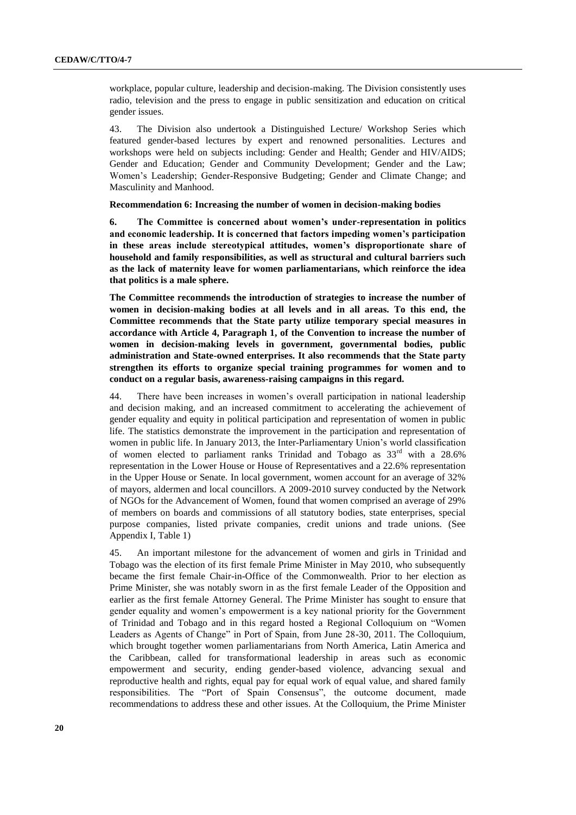workplace, popular culture, leadership and decision-making. The Division consistently uses radio, television and the press to engage in public sensitization and education on critical gender issues.

43. The Division also undertook a Distinguished Lecture/ Workshop Series which featured gender-based lectures by expert and renowned personalities. Lectures and workshops were held on subjects including: Gender and Health; Gender and HIV/AIDS; Gender and Education; Gender and Community Development; Gender and the Law; Women's Leadership; Gender-Responsive Budgeting; Gender and Climate Change; and Masculinity and Manhood.

#### **Recommendation 6: Increasing the number of women in decision-making bodies**

**6. The Committee is concerned about women's under-representation in politics and economic leadership. It is concerned that factors impeding women's participation in these areas include stereotypical attitudes, women's disproportionate share of household and family responsibilities, as well as structural and cultural barriers such as the lack of maternity leave for women parliamentarians, which reinforce the idea that politics is a male sphere.**

**The Committee recommends the introduction of strategies to increase the number of women in decision-making bodies at all levels and in all areas. To this end, the Committee recommends that the State party utilize temporary special measures in accordance with Article 4, Paragraph 1, of the Convention to increase the number of women in decision-making levels in government, governmental bodies, public administration and State-owned enterprises. It also recommends that the State party strengthen its efforts to organize special training programmes for women and to conduct on a regular basis, awareness-raising campaigns in this regard.**

44. There have been increases in women's overall participation in national leadership and decision making, and an increased commitment to accelerating the achievement of gender equality and equity in political participation and representation of women in public life. The statistics demonstrate the improvement in the participation and representation of women in public life. In January 2013, the Inter-Parliamentary Union's world classification of women elected to parliament ranks Trinidad and Tobago as  $33<sup>rd</sup>$  with a 28.6% representation in the Lower House or House of Representatives and a 22.6% representation in the Upper House or Senate. In local government, women account for an average of 32% of mayors, aldermen and local councillors. A 2009-2010 survey conducted by the Network of NGOs for the Advancement of Women, found that women comprised an average of 29% of members on boards and commissions of all statutory bodies, state enterprises, special purpose companies, listed private companies, credit unions and trade unions. (See Appendix I, Table 1)

45. An important milestone for the advancement of women and girls in Trinidad and Tobago was the election of its first female Prime Minister in May 2010, who subsequently became the first female Chair-in-Office of the Commonwealth. Prior to her election as Prime Minister, she was notably sworn in as the first female Leader of the Opposition and earlier as the first female Attorney General. The Prime Minister has sought to ensure that gender equality and women's empowerment is a key national priority for the Government of Trinidad and Tobago and in this regard hosted a Regional Colloquium on "Women Leaders as Agents of Change" in Port of Spain, from June 28-30, 2011. The Colloquium, which brought together women parliamentarians from North America, Latin America and the Caribbean, called for transformational leadership in areas such as economic empowerment and security, ending gender-based violence, advancing sexual and reproductive health and rights, equal pay for equal work of equal value, and shared family responsibilities. The "Port of Spain Consensus", the outcome document, made recommendations to address these and other issues. At the Colloquium, the Prime Minister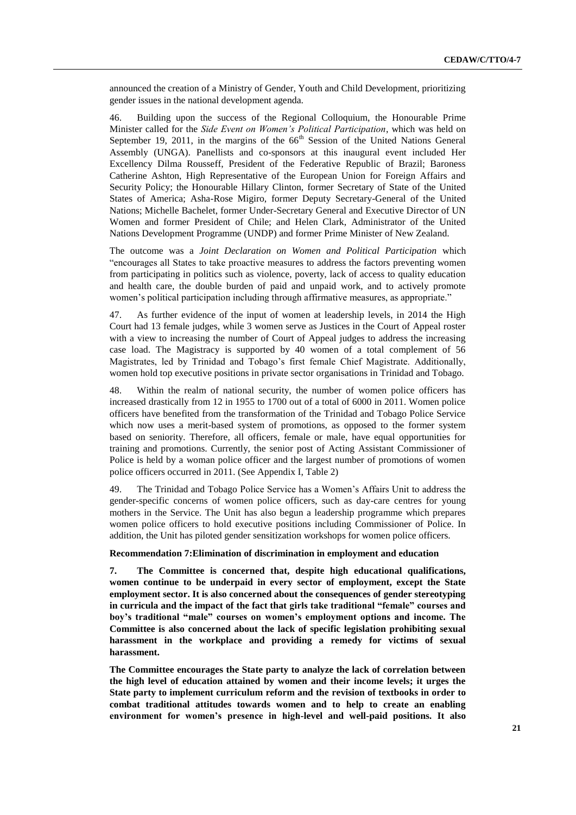announced the creation of a Ministry of Gender, Youth and Child Development, prioritizing gender issues in the national development agenda.

46. Building upon the success of the Regional Colloquium, the Honourable Prime Minister called for the *Side Event on Women's Political Participation*, which was held on September 19, 2011, in the margins of the  $66<sup>th</sup>$  Session of the United Nations General Assembly (UNGA). Panellists and co-sponsors at this inaugural event included Her Excellency Dilma Rousseff, President of the Federative Republic of Brazil; Baroness Catherine Ashton, High Representative of the European Union for Foreign Affairs and Security Policy; the Honourable Hillary Clinton, former Secretary of State of the United States of America; Asha-Rose Migiro, former Deputy Secretary-General of the United Nations; Michelle Bachelet, former Under-Secretary General and Executive Director of UN Women and former President of Chile; and Helen Clark, Administrator of the United Nations Development Programme (UNDP) and former Prime Minister of New Zealand.

The outcome was a *Joint Declaration on Women and Political Participation* which "encourages all States to take proactive measures to address the factors preventing women from participating in politics such as violence, poverty, lack of access to quality education and health care, the double burden of paid and unpaid work, and to actively promote women's political participation including through affirmative measures, as appropriate."

47. As further evidence of the input of women at leadership levels, in 2014 the High Court had 13 female judges, while 3 women serve as Justices in the Court of Appeal roster with a view to increasing the number of Court of Appeal judges to address the increasing case load. The Magistracy is supported by 40 women of a total complement of 56 Magistrates, led by Trinidad and Tobago's first female Chief Magistrate. Additionally, women hold top executive positions in private sector organisations in Trinidad and Tobago.

48. Within the realm of national security, the number of women police officers has increased drastically from 12 in 1955 to 1700 out of a total of 6000 in 2011. Women police officers have benefited from the transformation of the Trinidad and Tobago Police Service which now uses a merit-based system of promotions, as opposed to the former system based on seniority. Therefore, all officers, female or male, have equal opportunities for training and promotions. Currently, the senior post of Acting Assistant Commissioner of Police is held by a woman police officer and the largest number of promotions of women police officers occurred in 2011. (See Appendix I, Table 2)

49. The Trinidad and Tobago Police Service has a Women's Affairs Unit to address the gender-specific concerns of women police officers, such as day-care centres for young mothers in the Service. The Unit has also begun a leadership programme which prepares women police officers to hold executive positions including Commissioner of Police. In addition, the Unit has piloted gender sensitization workshops for women police officers.

#### **Recommendation 7:Elimination of discrimination in employment and education**

**7. The Committee is concerned that, despite high educational qualifications, women continue to be underpaid in every sector of employment, except the State employment sector. It is also concerned about the consequences of gender stereotyping in curricula and the impact of the fact that girls take traditional "female" courses and boy's traditional "male" courses on women's employment options and income. The Committee is also concerned about the lack of specific legislation prohibiting sexual harassment in the workplace and providing a remedy for victims of sexual harassment.**

**The Committee encourages the State party to analyze the lack of correlation between the high level of education attained by women and their income levels; it urges the State party to implement curriculum reform and the revision of textbooks in order to combat traditional attitudes towards women and to help to create an enabling environment for women's presence in high-level and well-paid positions. It also**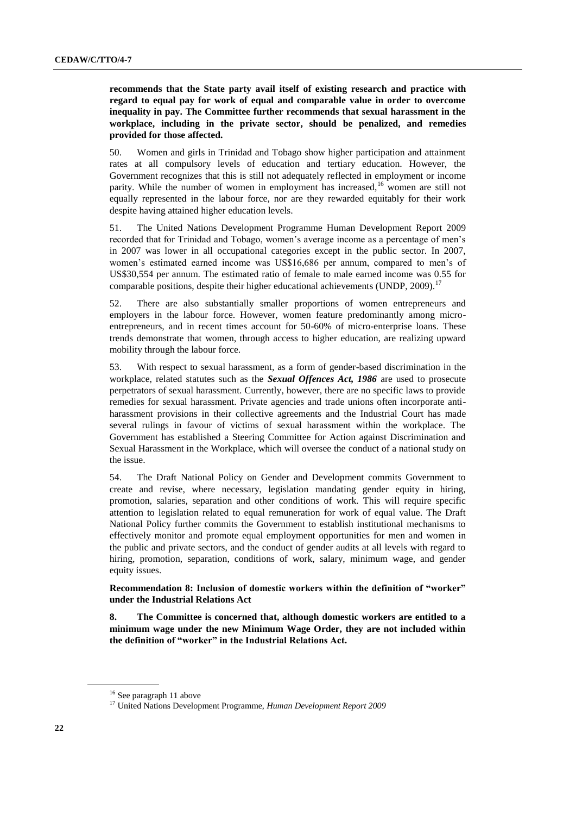**recommends that the State party avail itself of existing research and practice with regard to equal pay for work of equal and comparable value in order to overcome inequality in pay. The Committee further recommends that sexual harassment in the workplace, including in the private sector, should be penalized, and remedies provided for those affected.**

50. Women and girls in Trinidad and Tobago show higher participation and attainment rates at all compulsory levels of education and tertiary education. However, the Government recognizes that this is still not adequately reflected in employment or income parity. While the number of women in employment has increased, <sup>16</sup> women are still not equally represented in the labour force, nor are they rewarded equitably for their work despite having attained higher education levels.

51. The United Nations Development Programme Human Development Report 2009 recorded that for Trinidad and Tobago, women's average income as a percentage of men's in 2007 was lower in all occupational categories except in the public sector. In 2007, women's estimated earned income was US\$16,686 per annum, compared to men's of US\$30,554 per annum. The estimated ratio of female to male earned income was 0.55 for comparable positions, despite their higher educational achievements (UNDP,  $2009$ ).<sup>17</sup>

52. There are also substantially smaller proportions of women entrepreneurs and employers in the labour force. However, women feature predominantly among microentrepreneurs, and in recent times account for 50-60% of micro-enterprise loans. These trends demonstrate that women, through access to higher education, are realizing upward mobility through the labour force.

53. With respect to sexual harassment, as a form of gender-based discrimination in the workplace, related statutes such as the *Sexual Offences Act, 1986* are used to prosecute perpetrators of sexual harassment. Currently, however, there are no specific laws to provide remedies for sexual harassment. Private agencies and trade unions often incorporate antiharassment provisions in their collective agreements and the Industrial Court has made several rulings in favour of victims of sexual harassment within the workplace. The Government has established a Steering Committee for Action against Discrimination and Sexual Harassment in the Workplace, which will oversee the conduct of a national study on the issue.

54. The Draft National Policy on Gender and Development commits Government to create and revise, where necessary, legislation mandating gender equity in hiring, promotion, salaries, separation and other conditions of work. This will require specific attention to legislation related to equal remuneration for work of equal value. The Draft National Policy further commits the Government to establish institutional mechanisms to effectively monitor and promote equal employment opportunities for men and women in the public and private sectors, and the conduct of gender audits at all levels with regard to hiring, promotion, separation, conditions of work, salary, minimum wage, and gender equity issues.

**Recommendation 8: Inclusion of domestic workers within the definition of "worker" under the Industrial Relations Act**

**8. The Committee is concerned that, although domestic workers are entitled to a minimum wage under the new Minimum Wage Order, they are not included within the definition of "worker" in the Industrial Relations Act.**

<sup>&</sup>lt;sup>16</sup> See paragraph 11 above

<sup>17</sup> United Nations Development Programme, *Human Development Report 2009*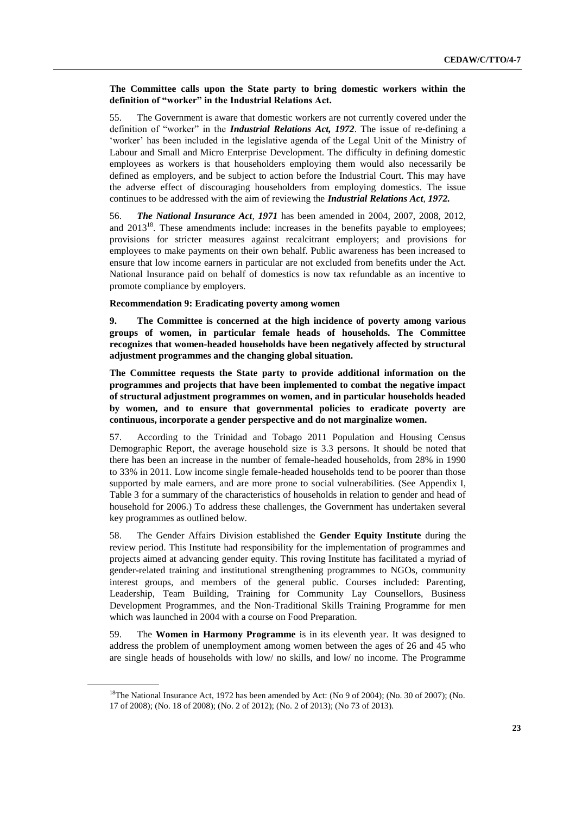## **The Committee calls upon the State party to bring domestic workers within the definition of "worker" in the Industrial Relations Act.**

55. The Government is aware that domestic workers are not currently covered under the definition of "worker" in the *Industrial Relations Act, 1972*. The issue of re-defining a 'worker' has been included in the legislative agenda of the Legal Unit of the Ministry of Labour and Small and Micro Enterprise Development. The difficulty in defining domestic employees as workers is that householders employing them would also necessarily be defined as employers, and be subject to action before the Industrial Court. This may have the adverse effect of discouraging householders from employing domestics. The issue continues to be addressed with the aim of reviewing the *Industrial Relations Act*, *1972.*

56. *The National Insurance Act*, *1971* has been amended in 2004, 2007, 2008, 2012, and  $2013^{18}$ . These amendments include: increases in the benefits payable to employees; provisions for stricter measures against recalcitrant employers; and provisions for employees to make payments on their own behalf. Public awareness has been increased to ensure that low income earners in particular are not excluded from benefits under the Act. National Insurance paid on behalf of domestics is now tax refundable as an incentive to promote compliance by employers.

#### **Recommendation 9: Eradicating poverty among women**

**9. The Committee is concerned at the high incidence of poverty among various groups of women, in particular female heads of households. The Committee recognizes that women-headed households have been negatively affected by structural adjustment programmes and the changing global situation.**

**The Committee requests the State party to provide additional information on the programmes and projects that have been implemented to combat the negative impact of structural adjustment programmes on women, and in particular households headed by women, and to ensure that governmental policies to eradicate poverty are continuous, incorporate a gender perspective and do not marginalize women.**

57. According to the Trinidad and Tobago 2011 Population and Housing Census Demographic Report, the average household size is 3.3 persons. It should be noted that there has been an increase in the number of female-headed households, from 28% in 1990 to 33% in 2011. Low income single female-headed households tend to be poorer than those supported by male earners, and are more prone to social vulnerabilities. (See Appendix I, Table 3 for a summary of the characteristics of households in relation to gender and head of household for 2006.) To address these challenges, the Government has undertaken several key programmes as outlined below.

58. The Gender Affairs Division established the **Gender Equity Institute** during the review period. This Institute had responsibility for the implementation of programmes and projects aimed at advancing gender equity. This roving Institute has facilitated a myriad of gender-related training and institutional strengthening programmes to NGOs, community interest groups, and members of the general public. Courses included: Parenting, Leadership, Team Building, Training for Community Lay Counsellors, Business Development Programmes, and the Non-Traditional Skills Training Programme for men which was launched in 2004 with a course on Food Preparation.

59. The **Women in Harmony Programme** is in its eleventh year. It was designed to address the problem of unemployment among women between the ages of 26 and 45 who are single heads of households with low/ no skills, and low/ no income. The Programme

<sup>18</sup>The National Insurance Act, 1972 has been amended by Act: (No 9 of 2004); (No. 30 of 2007); (No. 17 of 2008); (No. 18 of 2008); (No. 2 of 2012); (No. 2 of 2013); (No 73 of 2013).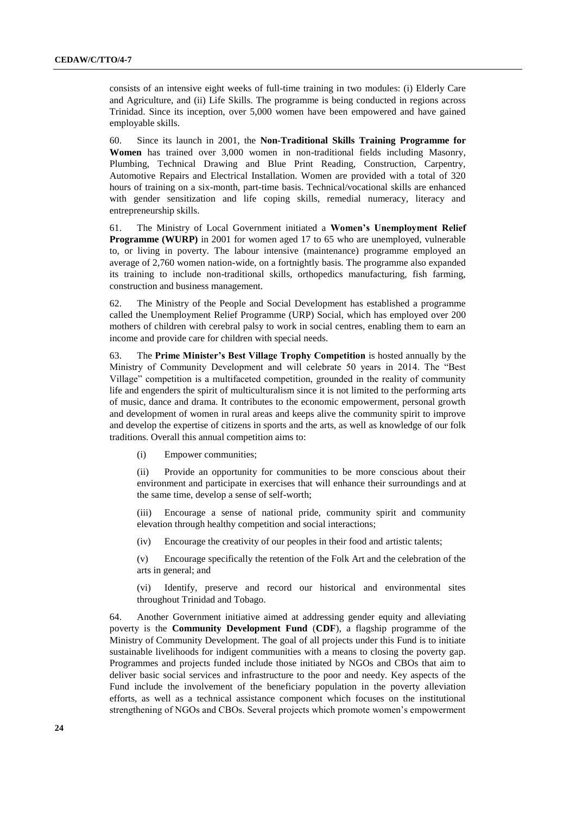consists of an intensive eight weeks of full-time training in two modules: (i) Elderly Care and Agriculture, and (ii) Life Skills. The programme is being conducted in regions across Trinidad. Since its inception, over 5,000 women have been empowered and have gained employable skills.

60. Since its launch in 2001, the **Non-Traditional Skills Training Programme for Women** has trained over 3,000 women in non-traditional fields including Masonry, Plumbing, Technical Drawing and Blue Print Reading, Construction, Carpentry, Automotive Repairs and Electrical Installation. Women are provided with a total of 320 hours of training on a six-month, part-time basis. Technical/vocational skills are enhanced with gender sensitization and life coping skills, remedial numeracy, literacy and entrepreneurship skills.

61. The Ministry of Local Government initiated a **Women's Unemployment Relief Programme (WURP)** in 2001 for women aged 17 to 65 who are unemployed, vulnerable to, or living in poverty. The labour intensive (maintenance) programme employed an average of 2,760 women nation-wide, on a fortnightly basis. The programme also expanded its training to include non-traditional skills, orthopedics manufacturing, fish farming, construction and business management.

62. The Ministry of the People and Social Development has established a programme called the Unemployment Relief Programme (URP) Social, which has employed over 200 mothers of children with cerebral palsy to work in social centres, enabling them to earn an income and provide care for children with special needs.

63. The **Prime Minister's Best Village Trophy Competition** is hosted annually by the Ministry of Community Development and will celebrate 50 years in 2014. The "Best Village" competition is a multifaceted competition, grounded in the reality of community life and engenders the spirit of multiculturalism since it is not limited to the performing arts of music, dance and drama. It contributes to the economic empowerment, personal growth and development of women in rural areas and keeps alive the community spirit to improve and develop the expertise of citizens in sports and the arts, as well as knowledge of our folk traditions. Overall this annual competition aims to:

(i) Empower communities;

(ii) Provide an opportunity for communities to be more conscious about their environment and participate in exercises that will enhance their surroundings and at the same time, develop a sense of self-worth;

(iii) Encourage a sense of national pride, community spirit and community elevation through healthy competition and social interactions;

(iv) Encourage the creativity of our peoples in their food and artistic talents;

(v) Encourage specifically the retention of the Folk Art and the celebration of the arts in general; and

(vi) Identify, preserve and record our historical and environmental sites throughout Trinidad and Tobago.

64. Another Government initiative aimed at addressing gender equity and alleviating poverty is the **Community Development Fund** (**CDF**), a flagship programme of the Ministry of Community Development. The goal of all projects under this Fund is to initiate sustainable livelihoods for indigent communities with a means to closing the poverty gap. Programmes and projects funded include those initiated by NGOs and CBOs that aim to deliver basic social services and infrastructure to the poor and needy. Key aspects of the Fund include the involvement of the beneficiary population in the poverty alleviation efforts, as well as a technical assistance component which focuses on the institutional strengthening of NGOs and CBOs. Several projects which promote women's empowerment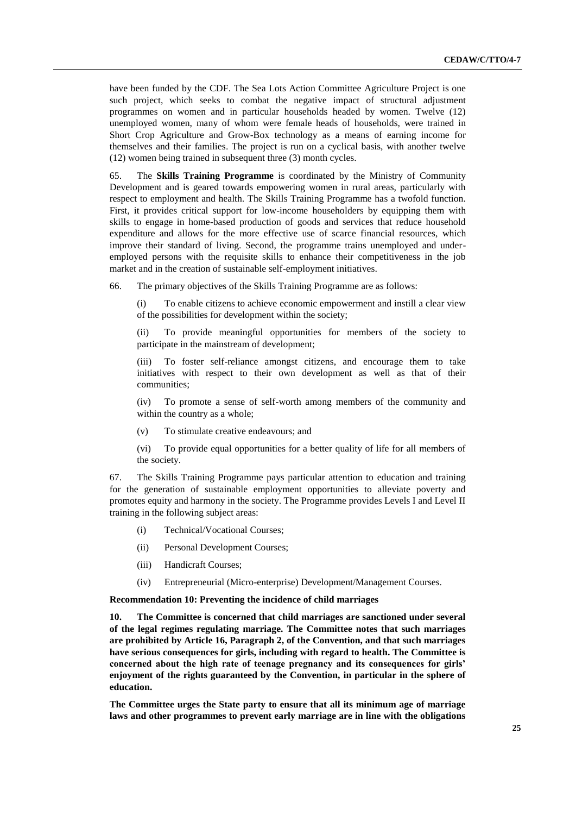have been funded by the CDF. The Sea Lots Action Committee Agriculture Project is one such project, which seeks to combat the negative impact of structural adjustment programmes on women and in particular households headed by women. Twelve (12) unemployed women, many of whom were female heads of households, were trained in Short Crop Agriculture and Grow-Box technology as a means of earning income for themselves and their families. The project is run on a cyclical basis, with another twelve (12) women being trained in subsequent three (3) month cycles.

65. The **Skills Training Programme** is coordinated by the Ministry of Community Development and is geared towards empowering women in rural areas, particularly with respect to employment and health. The Skills Training Programme has a twofold function. First, it provides critical support for low-income householders by equipping them with skills to engage in home-based production of goods and services that reduce household expenditure and allows for the more effective use of scarce financial resources, which improve their standard of living. Second, the programme trains unemployed and underemployed persons with the requisite skills to enhance their competitiveness in the job market and in the creation of sustainable self-employment initiatives.

66. The primary objectives of the Skills Training Programme are as follows:

(i) To enable citizens to achieve economic empowerment and instill a clear view of the possibilities for development within the society;

(ii) To provide meaningful opportunities for members of the society to participate in the mainstream of development;

(iii) To foster self-reliance amongst citizens, and encourage them to take initiatives with respect to their own development as well as that of their communities;

(iv) To promote a sense of self-worth among members of the community and within the country as a whole;

(v) To stimulate creative endeavours; and

(vi) To provide equal opportunities for a better quality of life for all members of the society.

67. The Skills Training Programme pays particular attention to education and training for the generation of sustainable employment opportunities to alleviate poverty and promotes equity and harmony in the society. The Programme provides Levels I and Level II training in the following subject areas:

- (i) Technical/Vocational Courses;
- (ii) Personal Development Courses;
- (iii) Handicraft Courses;
- (iv) Entrepreneurial (Micro-enterprise) Development/Management Courses.

**Recommendation 10: Preventing the incidence of child marriages**

**10. The Committee is concerned that child marriages are sanctioned under several of the legal regimes regulating marriage. The Committee notes that such marriages are prohibited by Article 16, Paragraph 2, of the Convention, and that such marriages have serious consequences for girls, including with regard to health. The Committee is concerned about the high rate of teenage pregnancy and its consequences for girls' enjoyment of the rights guaranteed by the Convention, in particular in the sphere of education.**

**The Committee urges the State party to ensure that all its minimum age of marriage laws and other programmes to prevent early marriage are in line with the obligations**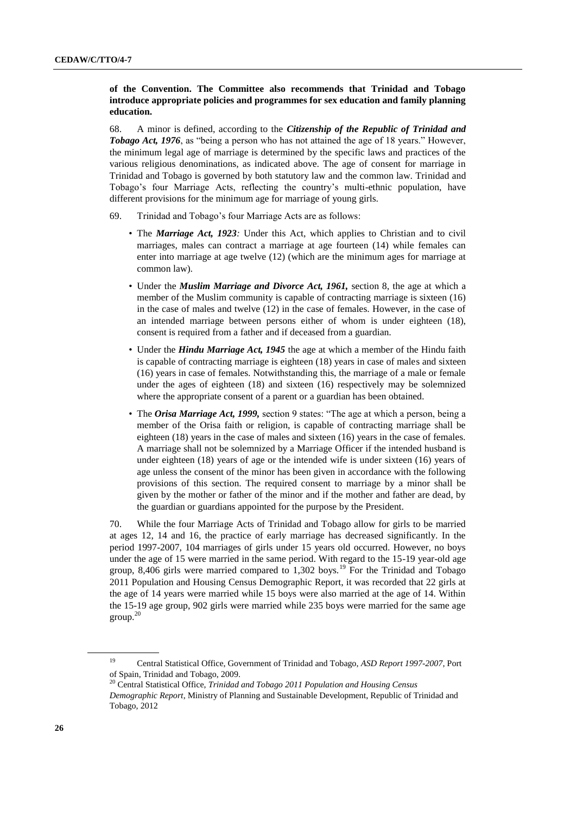## **of the Convention. The Committee also recommends that Trinidad and Tobago introduce appropriate policies and programmes for sex education and family planning education.**

68. A minor is defined, according to the *Citizenship of the Republic of Trinidad and Tobago Act, 1976*, as "being a person who has not attained the age of 18 years." However, the minimum legal age of marriage is determined by the specific laws and practices of the various religious denominations, as indicated above. The age of consent for marriage in Trinidad and Tobago is governed by both statutory law and the common law. Trinidad and Tobago's four Marriage Acts, reflecting the country's multi-ethnic population, have different provisions for the minimum age for marriage of young girls.

- 69. Trinidad and Tobago's four Marriage Acts are as follows:
	- The *Marriage Act, 1923:* Under this Act, which applies to Christian and to civil marriages, males can contract a marriage at age fourteen (14) while females can enter into marriage at age twelve (12) (which are the minimum ages for marriage at common law).
	- Under the *Muslim Marriage and Divorce Act, 1961,* section 8, the age at which a member of the Muslim community is capable of contracting marriage is sixteen (16) in the case of males and twelve (12) in the case of females. However, in the case of an intended marriage between persons either of whom is under eighteen (18), consent is required from a father and if deceased from a guardian.
	- Under the *Hindu Marriage Act, 1945* the age at which a member of the Hindu faith is capable of contracting marriage is eighteen (18) years in case of males and sixteen (16) years in case of females. Notwithstanding this, the marriage of a male or female under the ages of eighteen (18) and sixteen (16) respectively may be solemnized where the appropriate consent of a parent or a guardian has been obtained.
	- The *Orisa Marriage Act, 1999,* section 9 states: "The age at which a person, being a member of the Orisa faith or religion, is capable of contracting marriage shall be eighteen (18) years in the case of males and sixteen (16) years in the case of females. A marriage shall not be solemnized by a Marriage Officer if the intended husband is under eighteen (18) years of age or the intended wife is under sixteen (16) years of age unless the consent of the minor has been given in accordance with the following provisions of this section. The required consent to marriage by a minor shall be given by the mother or father of the minor and if the mother and father are dead, by the guardian or guardians appointed for the purpose by the President.

70. While the four Marriage Acts of Trinidad and Tobago allow for girls to be married at ages 12, 14 and 16, the practice of early marriage has decreased significantly. In the period 1997-2007, 104 marriages of girls under 15 years old occurred. However, no boys under the age of 15 were married in the same period. With regard to the 15-19 year-old age group, 8,406 girls were married compared to 1,302 boys.<sup>19</sup> For the Trinidad and Tobago 2011 Population and Housing Census Demographic Report, it was recorded that 22 girls at the age of 14 years were married while 15 boys were also married at the age of 14. Within the 15-19 age group, 902 girls were married while 235 boys were married for the same age  $\text{group}^{\,20}$ 

<sup>19</sup> Central Statistical Office, Government of Trinidad and Tobago, *ASD Report 1997-2007*, Port of Spain, Trinidad and Tobago, 2009.

<sup>20</sup> Central Statistical Office, *Trinidad and Tobago 2011 Population and Housing Census Demographic Report*, Ministry of Planning and Sustainable Development, Republic of Trinidad and Tobago, 2012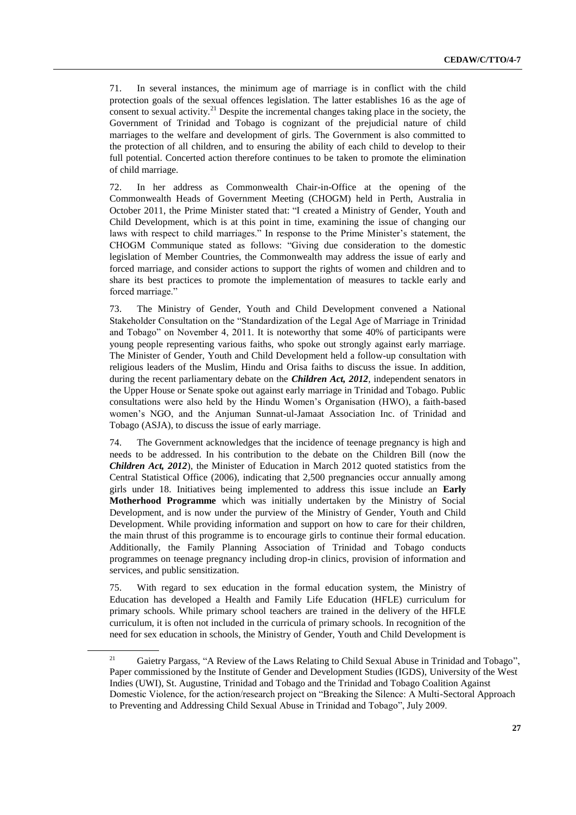71. In several instances, the minimum age of marriage is in conflict with the child protection goals of the sexual offences legislation. The latter establishes 16 as the age of consent to sexual activity.<sup>21</sup> Despite the incremental changes taking place in the society, the Government of Trinidad and Tobago is cognizant of the prejudicial nature of child marriages to the welfare and development of girls. The Government is also committed to the protection of all children, and to ensuring the ability of each child to develop to their full potential. Concerted action therefore continues to be taken to promote the elimination of child marriage.

72. In her address as Commonwealth Chair-in-Office at the opening of the Commonwealth Heads of Government Meeting (CHOGM) held in Perth, Australia in October 2011, the Prime Minister stated that: "I created a Ministry of Gender, Youth and Child Development, which is at this point in time, examining the issue of changing our laws with respect to child marriages." In response to the Prime Minister's statement, the CHOGM Communique stated as follows: "Giving due consideration to the domestic legislation of Member Countries, the Commonwealth may address the issue of early and forced marriage, and consider actions to support the rights of women and children and to share its best practices to promote the implementation of measures to tackle early and forced marriage."

73. The Ministry of Gender, Youth and Child Development convened a National Stakeholder Consultation on the "Standardization of the Legal Age of Marriage in Trinidad and Tobago" on November 4, 2011. It is noteworthy that some 40% of participants were young people representing various faiths, who spoke out strongly against early marriage. The Minister of Gender, Youth and Child Development held a follow-up consultation with religious leaders of the Muslim, Hindu and Orisa faiths to discuss the issue. In addition, during the recent parliamentary debate on the *Children Act, 2012*, independent senators in the Upper House or Senate spoke out against early marriage in Trinidad and Tobago. Public consultations were also held by the Hindu Women's Organisation (HWO), a faith-based women's NGO, and the Anjuman Sunnat-ul-Jamaat Association Inc. of Trinidad and Tobago (ASJA), to discuss the issue of early marriage.

74. The Government acknowledges that the incidence of teenage pregnancy is high and needs to be addressed. In his contribution to the debate on the Children Bill (now the *Children Act, 2012*), the Minister of Education in March 2012 quoted statistics from the Central Statistical Office (2006), indicating that 2,500 pregnancies occur annually among girls under 18. Initiatives being implemented to address this issue include an **Early Motherhood Programme** which was initially undertaken by the Ministry of Social Development, and is now under the purview of the Ministry of Gender, Youth and Child Development. While providing information and support on how to care for their children, the main thrust of this programme is to encourage girls to continue their formal education. Additionally, the Family Planning Association of Trinidad and Tobago conducts programmes on teenage pregnancy including drop-in clinics, provision of information and services, and public sensitization.

75. With regard to sex education in the formal education system, the Ministry of Education has developed a Health and Family Life Education (HFLE) curriculum for primary schools. While primary school teachers are trained in the delivery of the HFLE curriculum, it is often not included in the curricula of primary schools. In recognition of the need for sex education in schools, the Ministry of Gender, Youth and Child Development is

<sup>&</sup>lt;sup>21</sup> Gaietry Pargass, "A Review of the Laws Relating to Child Sexual Abuse in Trinidad and Tobago", Paper commissioned by the Institute of Gender and Development Studies (IGDS), University of the West Indies (UWI), St. Augustine, Trinidad and Tobago and the Trinidad and Tobago Coalition Against Domestic Violence, for the action/research project on "Breaking the Silence: A Multi-Sectoral Approach to Preventing and Addressing Child Sexual Abuse in Trinidad and Tobago", July 2009.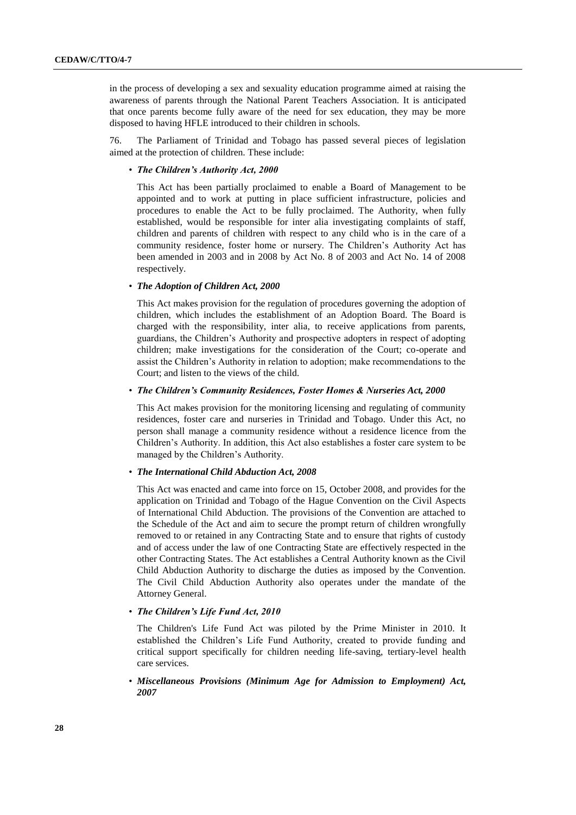in the process of developing a sex and sexuality education programme aimed at raising the awareness of parents through the National Parent Teachers Association. It is anticipated that once parents become fully aware of the need for sex education, they may be more disposed to having HFLE introduced to their children in schools.

76. The Parliament of Trinidad and Tobago has passed several pieces of legislation aimed at the protection of children. These include:

#### • *The Children's Authority Act, 2000*

This Act has been partially proclaimed to enable a Board of Management to be appointed and to work at putting in place sufficient infrastructure, policies and procedures to enable the Act to be fully proclaimed. The Authority, when fully established, would be responsible for inter alia investigating complaints of staff, children and parents of children with respect to any child who is in the care of a community residence, foster home or nursery. The Children's Authority Act has been amended in 2003 and in 2008 by Act No. 8 of 2003 and Act No. 14 of 2008 respectively.

#### • *The Adoption of Children Act, 2000*

This Act makes provision for the regulation of procedures governing the adoption of children, which includes the establishment of an Adoption Board. The Board is charged with the responsibility, inter alia, to receive applications from parents, guardians, the Children's Authority and prospective adopters in respect of adopting children; make investigations for the consideration of the Court; co-operate and assist the Children's Authority in relation to adoption; make recommendations to the Court; and listen to the views of the child.

#### • *The Children's Community Residences, Foster Homes & Nurseries Act, 2000*

This Act makes provision for the monitoring licensing and regulating of community residences, foster care and nurseries in Trinidad and Tobago. Under this Act, no person shall manage a community residence without a residence licence from the Children's Authority. In addition, this Act also establishes a foster care system to be managed by the Children's Authority.

#### • *The International Child Abduction Act, 2008*

This Act was enacted and came into force on 15, October 2008, and provides for the application on Trinidad and Tobago of the Hague Convention on the Civil Aspects of International Child Abduction. The provisions of the Convention are attached to the Schedule of the Act and aim to secure the prompt return of children wrongfully removed to or retained in any Contracting State and to ensure that rights of custody and of access under the law of one Contracting State are effectively respected in the other Contracting States. The Act establishes a Central Authority known as the Civil Child Abduction Authority to discharge the duties as imposed by the Convention. The Civil Child Abduction Authority also operates under the mandate of the Attorney General.

#### • *The Children's Life Fund Act, 2010*

The Children's Life Fund Act was piloted by the Prime Minister in 2010. It established the Children's Life Fund Authority, created to provide funding and critical support specifically for children needing life-saving, tertiary-level health care services.

• *Miscellaneous Provisions (Minimum Age for Admission to Employment) Act, 2007*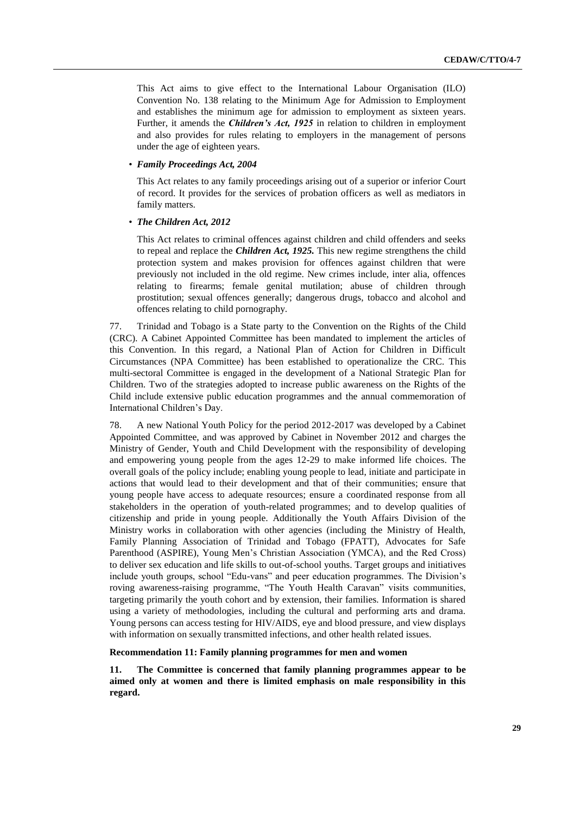This Act aims to give effect to the International Labour Organisation (ILO) Convention No. 138 relating to the Minimum Age for Admission to Employment and establishes the minimum age for admission to employment as sixteen years. Further, it amends the *Children's Act, 1925* in relation to children in employment and also provides for rules relating to employers in the management of persons under the age of eighteen years.

### • *Family Proceedings Act, 2004*

This Act relates to any family proceedings arising out of a superior or inferior Court of record. It provides for the services of probation officers as well as mediators in family matters.

#### • *The Children Act, 2012*

This Act relates to criminal offences against children and child offenders and seeks to repeal and replace the *Children Act, 1925.* This new regime strengthens the child protection system and makes provision for offences against children that were previously not included in the old regime. New crimes include, inter alia, offences relating to firearms; female genital mutilation; abuse of children through prostitution; sexual offences generally; dangerous drugs, tobacco and alcohol and offences relating to child pornography.

77. Trinidad and Tobago is a State party to the Convention on the Rights of the Child (CRC). A Cabinet Appointed Committee has been mandated to implement the articles of this Convention. In this regard, a National Plan of Action for Children in Difficult Circumstances (NPA Committee) has been established to operationalize the CRC. This multi-sectoral Committee is engaged in the development of a National Strategic Plan for Children. Two of the strategies adopted to increase public awareness on the Rights of the Child include extensive public education programmes and the annual commemoration of International Children's Day.

78. A new National Youth Policy for the period 2012-2017 was developed by a Cabinet Appointed Committee, and was approved by Cabinet in November 2012 and charges the Ministry of Gender, Youth and Child Development with the responsibility of developing and empowering young people from the ages 12-29 to make informed life choices. The overall goals of the policy include; enabling young people to lead, initiate and participate in actions that would lead to their development and that of their communities; ensure that young people have access to adequate resources; ensure a coordinated response from all stakeholders in the operation of youth-related programmes; and to develop qualities of citizenship and pride in young people. Additionally the Youth Affairs Division of the Ministry works in collaboration with other agencies (including the Ministry of Health, Family Planning Association of Trinidad and Tobago (FPATT), Advocates for Safe Parenthood (ASPIRE), Young Men's Christian Association (YMCA), and the Red Cross) to deliver sex education and life skills to out-of-school youths. Target groups and initiatives include youth groups, school "Edu-vans" and peer education programmes. The Division's roving awareness-raising programme, "The Youth Health Caravan" visits communities, targeting primarily the youth cohort and by extension, their families. Information is shared using a variety of methodologies, including the cultural and performing arts and drama. Young persons can access testing for HIV/AIDS, eye and blood pressure, and view displays with information on sexually transmitted infections, and other health related issues.

#### **Recommendation 11: Family planning programmes for men and women**

**11. The Committee is concerned that family planning programmes appear to be aimed only at women and there is limited emphasis on male responsibility in this regard.**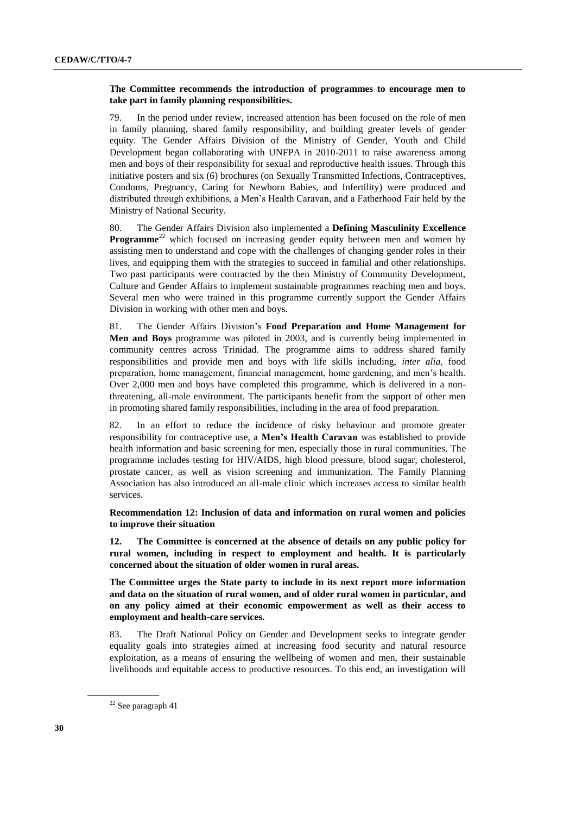## **The Committee recommends the introduction of programmes to encourage men to take part in family planning responsibilities.**

79. In the period under review, increased attention has been focused on the role of men in family planning, shared family responsibility, and building greater levels of gender equity. The Gender Affairs Division of the Ministry of Gender, Youth and Child Development began collaborating with UNFPA in 2010-2011 to raise awareness among men and boys of their responsibility for sexual and reproductive health issues. Through this initiative posters and six (6) brochures (on Sexually Transmitted Infections, Contraceptives, Condoms, Pregnancy, Caring for Newborn Babies, and Infertility) were produced and distributed through exhibitions, a Men's Health Caravan, and a Fatherhood Fair held by the Ministry of National Security.

80. The Gender Affairs Division also implemented a **Defining Masculinity Excellence Programme**<sup>22</sup> which focused on increasing gender equity between men and women by assisting men to understand and cope with the challenges of changing gender roles in their lives, and equipping them with the strategies to succeed in familial and other relationships. Two past participants were contracted by the then Ministry of Community Development, Culture and Gender Affairs to implement sustainable programmes reaching men and boys. Several men who were trained in this programme currently support the Gender Affairs Division in working with other men and boys.

81. The Gender Affairs Division's **Food Preparation and Home Management for Men and Boys** programme was piloted in 2003, and is currently being implemented in community centres across Trinidad. The programme aims to address shared family responsibilities and provide men and boys with life skills including, *inter alia*, food preparation, home management, financial management, home gardening, and men's health. Over 2,000 men and boys have completed this programme, which is delivered in a nonthreatening, all-male environment. The participants benefit from the support of other men in promoting shared family responsibilities, including in the area of food preparation.

82. In an effort to reduce the incidence of risky behaviour and promote greater responsibility for contraceptive use, a **Men's Health Caravan** was established to provide health information and basic screening for men, especially those in rural communities. The programme includes testing for HIV/AIDS, high blood pressure, blood sugar, cholesterol, prostate cancer, as well as vision screening and immunization. The Family Planning Association has also introduced an all-male clinic which increases access to similar health services.

**Recommendation 12: Inclusion of data and information on rural women and policies to improve their situation**

**12. The Committee is concerned at the absence of details on any public policy for rural women, including in respect to employment and health. It is particularly concerned about the situation of older women in rural areas.**

**The Committee urges the State party to include in its next report more information and data on the situation of rural women, and of older rural women in particular, and on any policy aimed at their economic empowerment as well as their access to employment and health-care services.**

83. The Draft National Policy on Gender and Development seeks to integrate gender equality goals into strategies aimed at increasing food security and natural resource exploitation, as a means of ensuring the wellbeing of women and men, their sustainable livelihoods and equitable access to productive resources. To this end, an investigation will

<sup>22</sup> See paragraph 41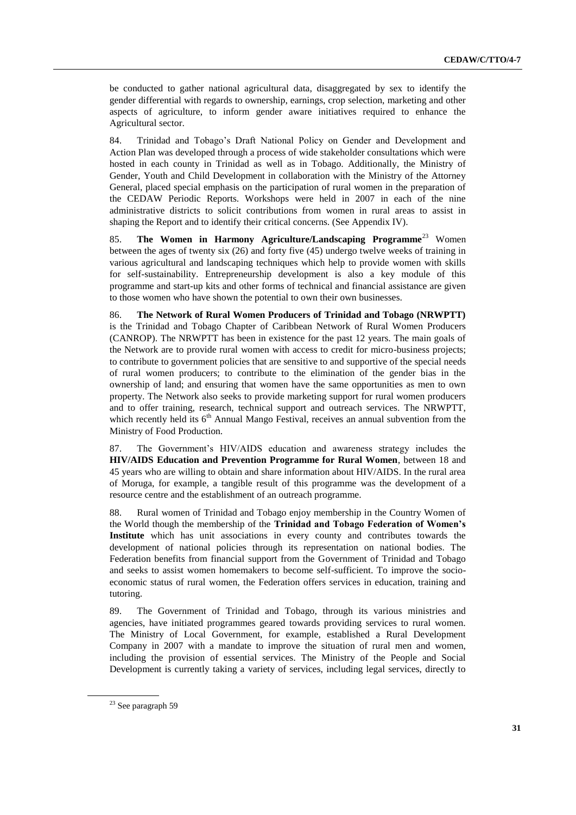be conducted to gather national agricultural data, disaggregated by sex to identify the gender differential with regards to ownership, earnings, crop selection, marketing and other aspects of agriculture, to inform gender aware initiatives required to enhance the Agricultural sector.

84. Trinidad and Tobago's Draft National Policy on Gender and Development and Action Plan was developed through a process of wide stakeholder consultations which were hosted in each county in Trinidad as well as in Tobago. Additionally, the Ministry of Gender, Youth and Child Development in collaboration with the Ministry of the Attorney General, placed special emphasis on the participation of rural women in the preparation of the CEDAW Periodic Reports. Workshops were held in 2007 in each of the nine administrative districts to solicit contributions from women in rural areas to assist in shaping the Report and to identify their critical concerns. (See Appendix IV).

85. **The Women in Harmony Agriculture/Landscaping Programme**<sup>23</sup> Women between the ages of twenty six (26) and forty five (45) undergo twelve weeks of training in various agricultural and landscaping techniques which help to provide women with skills for self-sustainability. Entrepreneurship development is also a key module of this programme and start-up kits and other forms of technical and financial assistance are given to those women who have shown the potential to own their own businesses.

86. **The Network of Rural Women Producers of Trinidad and Tobago (NRWPTT)** is the Trinidad and Tobago Chapter of Caribbean Network of Rural Women Producers (CANROP). The NRWPTT has been in existence for the past 12 years. The main goals of the Network are to provide rural women with access to credit for micro-business projects; to contribute to government policies that are sensitive to and supportive of the special needs of rural women producers; to contribute to the elimination of the gender bias in the ownership of land; and ensuring that women have the same opportunities as men to own property. The Network also seeks to provide marketing support for rural women producers and to offer training, research, technical support and outreach services. The NRWPTT, which recently held its  $6<sup>th</sup>$  Annual Mango Festival, receives an annual subvention from the Ministry of Food Production.

87. The Government's HIV/AIDS education and awareness strategy includes the **HIV/AIDS Education and Prevention Programme for Rural Women**, between 18 and 45 years who are willing to obtain and share information about HIV/AIDS. In the rural area of Moruga, for example, a tangible result of this programme was the development of a resource centre and the establishment of an outreach programme.

88. Rural women of Trinidad and Tobago enjoy membership in the Country Women of the World though the membership of the **Trinidad and Tobago Federation of Women's Institute** which has unit associations in every county and contributes towards the development of national policies through its representation on national bodies. The Federation benefits from financial support from the Government of Trinidad and Tobago and seeks to assist women homemakers to become self-sufficient. To improve the socioeconomic status of rural women, the Federation offers services in education, training and tutoring.

89. The Government of Trinidad and Tobago, through its various ministries and agencies, have initiated programmes geared towards providing services to rural women. The Ministry of Local Government, for example, established a Rural Development Company in 2007 with a mandate to improve the situation of rural men and women, including the provision of essential services. The Ministry of the People and Social Development is currently taking a variety of services, including legal services, directly to

<sup>&</sup>lt;sup>23</sup> See paragraph 59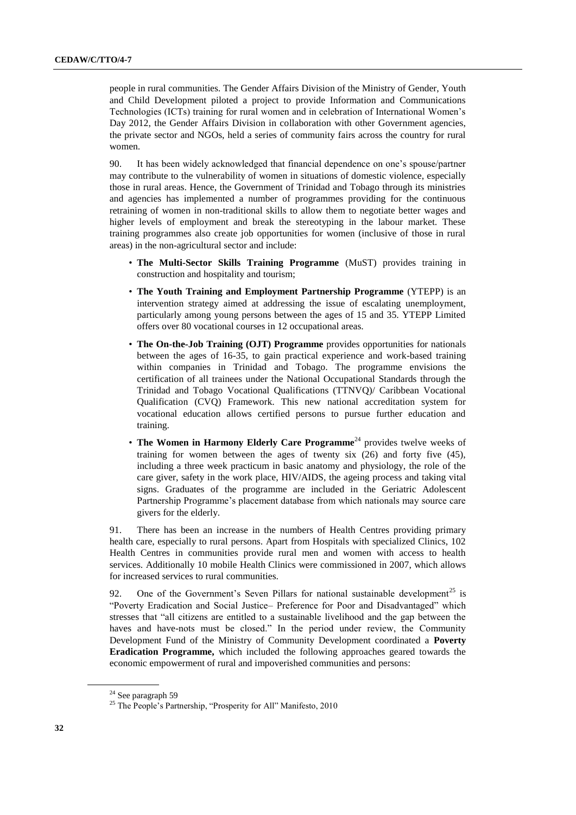people in rural communities. The Gender Affairs Division of the Ministry of Gender, Youth and Child Development piloted a project to provide Information and Communications Technologies (ICTs) training for rural women and in celebration of International Women's Day 2012, the Gender Affairs Division in collaboration with other Government agencies, the private sector and NGOs, held a series of community fairs across the country for rural women.

90. It has been widely acknowledged that financial dependence on one's spouse/partner may contribute to the vulnerability of women in situations of domestic violence, especially those in rural areas. Hence, the Government of Trinidad and Tobago through its ministries and agencies has implemented a number of programmes providing for the continuous retraining of women in non-traditional skills to allow them to negotiate better wages and higher levels of employment and break the stereotyping in the labour market. These training programmes also create job opportunities for women (inclusive of those in rural areas) in the non-agricultural sector and include:

- **The Multi-Sector Skills Training Programme** (MuST) provides training in construction and hospitality and tourism;
- **The Youth Training and Employment Partnership Programme** (YTEPP) is an intervention strategy aimed at addressing the issue of escalating unemployment, particularly among young persons between the ages of 15 and 35. YTEPP Limited offers over 80 vocational courses in 12 occupational areas.
- **The On-the-Job Training (OJT) Programme** provides opportunities for nationals between the ages of 16-35, to gain practical experience and work-based training within companies in Trinidad and Tobago. The programme envisions the certification of all trainees under the National Occupational Standards through the Trinidad and Tobago Vocational Qualifications (TTNVQ)/ Caribbean Vocational Qualification (CVQ) Framework. This new national accreditation system for vocational education allows certified persons to pursue further education and training.
- **The Women in Harmony Elderly Care Programme**<sup>24</sup> provides twelve weeks of training for women between the ages of twenty six (26) and forty five (45), including a three week practicum in basic anatomy and physiology, the role of the care giver, safety in the work place, HIV/AIDS, the ageing process and taking vital signs. Graduates of the programme are included in the Geriatric Adolescent Partnership Programme's placement database from which nationals may source care givers for the elderly.

91. There has been an increase in the numbers of Health Centres providing primary health care, especially to rural persons. Apart from Hospitals with specialized Clinics, 102 Health Centres in communities provide rural men and women with access to health services. Additionally 10 mobile Health Clinics were commissioned in 2007, which allows for increased services to rural communities.

92. One of the Government's Seven Pillars for national sustainable development<sup>25</sup> is "Poverty Eradication and Social Justice– Preference for Poor and Disadvantaged" which stresses that "all citizens are entitled to a sustainable livelihood and the gap between the haves and have-nots must be closed." In the period under review, the Community Development Fund of the Ministry of Community Development coordinated a **Poverty Eradication Programme,** which included the following approaches geared towards the economic empowerment of rural and impoverished communities and persons:

<sup>&</sup>lt;sup>24</sup> See paragraph 59

<sup>&</sup>lt;sup>25</sup> The People's Partnership, "Prosperity for All" Manifesto, 2010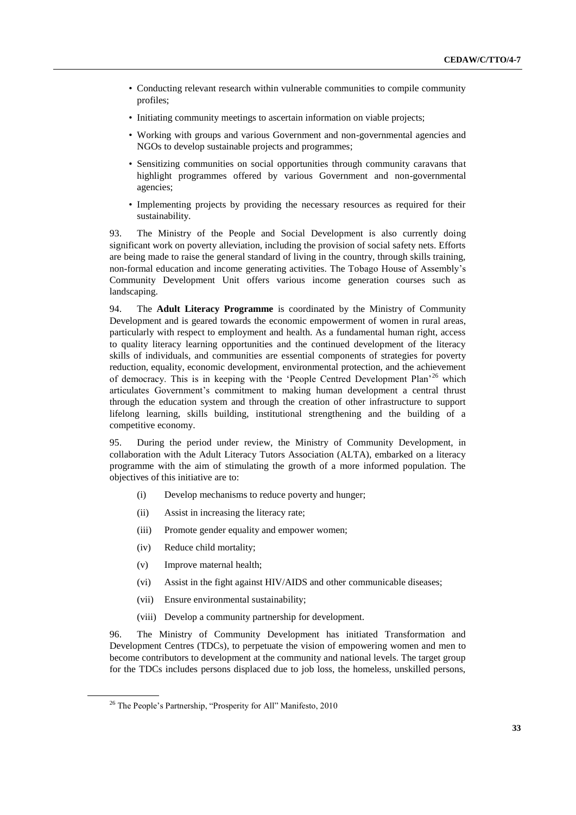- Conducting relevant research within vulnerable communities to compile community profiles;
- Initiating community meetings to ascertain information on viable projects;
- Working with groups and various Government and non-governmental agencies and NGOs to develop sustainable projects and programmes;
- Sensitizing communities on social opportunities through community caravans that highlight programmes offered by various Government and non-governmental agencies;
- Implementing projects by providing the necessary resources as required for their sustainability.

93. The Ministry of the People and Social Development is also currently doing significant work on poverty alleviation, including the provision of social safety nets. Efforts are being made to raise the general standard of living in the country, through skills training, non-formal education and income generating activities. The Tobago House of Assembly's Community Development Unit offers various income generation courses such as landscaping.

94. The **Adult Literacy Programme** is coordinated by the Ministry of Community Development and is geared towards the economic empowerment of women in rural areas, particularly with respect to employment and health. As a fundamental human right, access to quality literacy learning opportunities and the continued development of the literacy skills of individuals, and communities are essential components of strategies for poverty reduction, equality, economic development, environmental protection, and the achievement of democracy. This is in keeping with the 'People Centred Development Plan'<sup>26</sup> which articulates Government's commitment to making human development a central thrust through the education system and through the creation of other infrastructure to support lifelong learning, skills building, institutional strengthening and the building of a competitive economy.

95. During the period under review, the Ministry of Community Development, in collaboration with the Adult Literacy Tutors Association (ALTA), embarked on a literacy programme with the aim of stimulating the growth of a more informed population. The objectives of this initiative are to:

- (i) Develop mechanisms to reduce poverty and hunger;
- (ii) Assist in increasing the literacy rate;
- (iii) Promote gender equality and empower women;
- (iv) Reduce child mortality;
- (v) Improve maternal health;
- (vi) Assist in the fight against HIV/AIDS and other communicable diseases;
- (vii) Ensure environmental sustainability;
- (viii) Develop a community partnership for development.

96. The Ministry of Community Development has initiated Transformation and Development Centres (TDCs), to perpetuate the vision of empowering women and men to become contributors to development at the community and national levels. The target group for the TDCs includes persons displaced due to job loss, the homeless, unskilled persons,

<sup>26</sup> The People's Partnership, "Prosperity for All" Manifesto, 2010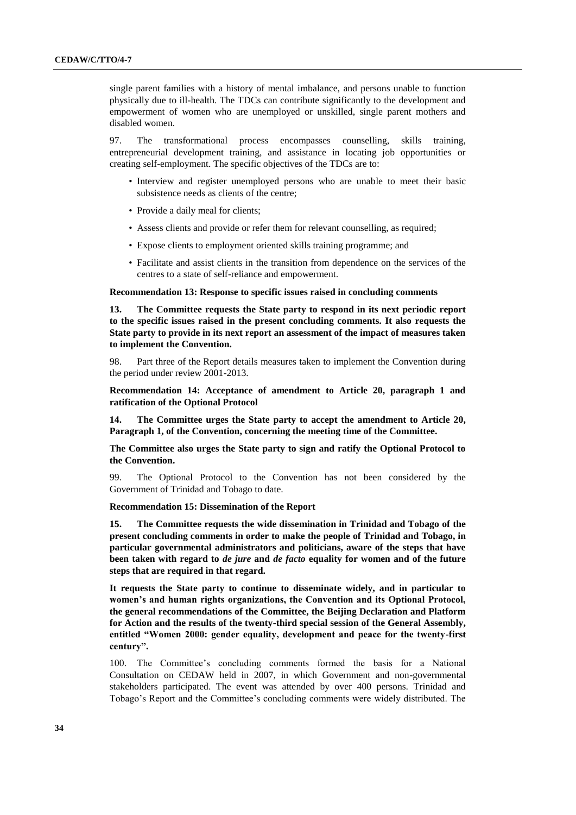single parent families with a history of mental imbalance, and persons unable to function physically due to ill-health. The TDCs can contribute significantly to the development and empowerment of women who are unemployed or unskilled, single parent mothers and disabled women.

97. The transformational process encompasses counselling, skills training, entrepreneurial development training, and assistance in locating job opportunities or creating self-employment. The specific objectives of the TDCs are to:

- Interview and register unemployed persons who are unable to meet their basic subsistence needs as clients of the centre;
- Provide a daily meal for clients;
- Assess clients and provide or refer them for relevant counselling, as required;
- Expose clients to employment oriented skills training programme; and
- Facilitate and assist clients in the transition from dependence on the services of the centres to a state of self-reliance and empowerment.

#### **Recommendation 13: Response to specific issues raised in concluding comments**

**13. The Committee requests the State party to respond in its next periodic report to the specific issues raised in the present concluding comments. It also requests the State party to provide in its next report an assessment of the impact of measures taken to implement the Convention.**

98. Part three of the Report details measures taken to implement the Convention during the period under review 2001-2013.

**Recommendation 14: Acceptance of amendment to Article 20, paragraph 1 and ratification of the Optional Protocol**

**14. The Committee urges the State party to accept the amendment to Article 20, Paragraph 1, of the Convention, concerning the meeting time of the Committee.**

**The Committee also urges the State party to sign and ratify the Optional Protocol to the Convention.**

99. The Optional Protocol to the Convention has not been considered by the Government of Trinidad and Tobago to date.

#### **Recommendation 15: Dissemination of the Report**

**15. The Committee requests the wide dissemination in Trinidad and Tobago of the present concluding comments in order to make the people of Trinidad and Tobago, in particular governmental administrators and politicians, aware of the steps that have been taken with regard to** *de jure* **and** *de facto* **equality for women and of the future steps that are required in that regard.**

**It requests the State party to continue to disseminate widely, and in particular to women's and human rights organizations, the Convention and its Optional Protocol, the general recommendations of the Committee, the Beijing Declaration and Platform for Action and the results of the twenty-third special session of the General Assembly, entitled "Women 2000: gender equality, development and peace for the twenty-first century".**

100. The Committee's concluding comments formed the basis for a National Consultation on CEDAW held in 2007, in which Government and non-governmental stakeholders participated. The event was attended by over 400 persons. Trinidad and Tobago's Report and the Committee's concluding comments were widely distributed. The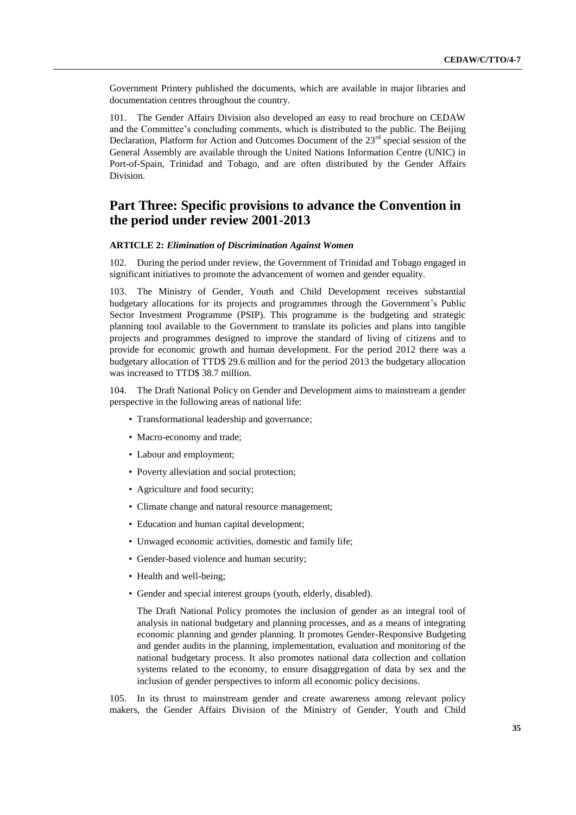Government Printery published the documents, which are available in major libraries and documentation centres throughout the country.

101. The Gender Affairs Division also developed an easy to read brochure on CEDAW and the Committee's concluding comments, which is distributed to the public. The Beijing Declaration, Platform for Action and Outcomes Document of the  $23<sup>rd</sup>$  special session of the General Assembly are available through the United Nations Information Centre (UNIC) in Port-of-Spain, Trinidad and Tobago, and are often distributed by the Gender Affairs Division.

## **Part Three: Specific provisions to advance the Convention in the period under review 2001-2013**

#### **ARTICLE 2:** *Elimination of Discrimination Against Women*

102. During the period under review, the Government of Trinidad and Tobago engaged in significant initiatives to promote the advancement of women and gender equality.

103. The Ministry of Gender, Youth and Child Development receives substantial budgetary allocations for its projects and programmes through the Government's Public Sector Investment Programme (PSIP). This programme is the budgeting and strategic planning tool available to the Government to translate its policies and plans into tangible projects and programmes designed to improve the standard of living of citizens and to provide for economic growth and human development. For the period 2012 there was a budgetary allocation of TTD\$ 29.6 million and for the period 2013 the budgetary allocation was increased to TTD\$ 38.7 million.

104. The Draft National Policy on Gender and Development aims to mainstream a gender perspective in the following areas of national life:

- Transformational leadership and governance;
- Macro-economy and trade;
- Labour and employment;
- Poverty alleviation and social protection;
- Agriculture and food security;
- Climate change and natural resource management;
- Education and human capital development;
- Unwaged economic activities, domestic and family life;
- Gender-based violence and human security;
- Health and well-being;
- Gender and special interest groups (youth, elderly, disabled).

The Draft National Policy promotes the inclusion of gender as an integral tool of analysis in national budgetary and planning processes, and as a means of integrating economic planning and gender planning. It promotes Gender-Responsive Budgeting and gender audits in the planning, implementation, evaluation and monitoring of the national budgetary process. It also promotes national data collection and collation systems related to the economy, to ensure disaggregation of data by sex and the inclusion of gender perspectives to inform all economic policy decisions.

105. In its thrust to mainstream gender and create awareness among relevant policy makers, the Gender Affairs Division of the Ministry of Gender, Youth and Child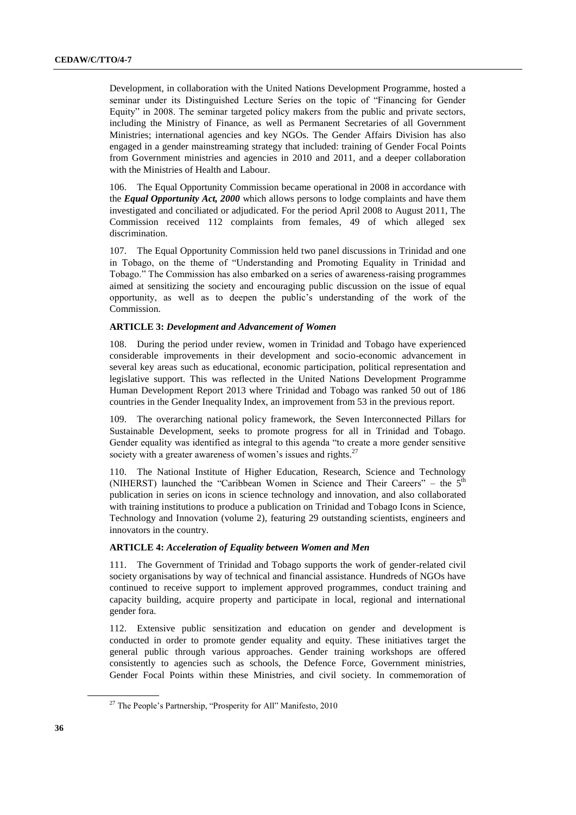Development, in collaboration with the United Nations Development Programme, hosted a seminar under its Distinguished Lecture Series on the topic of "Financing for Gender Equity" in 2008. The seminar targeted policy makers from the public and private sectors, including the Ministry of Finance, as well as Permanent Secretaries of all Government Ministries; international agencies and key NGOs. The Gender Affairs Division has also engaged in a gender mainstreaming strategy that included: training of Gender Focal Points from Government ministries and agencies in 2010 and 2011, and a deeper collaboration with the Ministries of Health and Labour.

106. The Equal Opportunity Commission became operational in 2008 in accordance with the *Equal Opportunity Act, 2000* which allows persons to lodge complaints and have them investigated and conciliated or adjudicated. For the period April 2008 to August 2011, The Commission received 112 complaints from females, 49 of which alleged sex discrimination.

107. The Equal Opportunity Commission held two panel discussions in Trinidad and one in Tobago, on the theme of "Understanding and Promoting Equality in Trinidad and Tobago." The Commission has also embarked on a series of awareness-raising programmes aimed at sensitizing the society and encouraging public discussion on the issue of equal opportunity, as well as to deepen the public's understanding of the work of the Commission.

## **ARTICLE 3:** *Development and Advancement of Women*

108. During the period under review, women in Trinidad and Tobago have experienced considerable improvements in their development and socio-economic advancement in several key areas such as educational, economic participation, political representation and legislative support. This was reflected in the United Nations Development Programme Human Development Report 2013 where Trinidad and Tobago was ranked 50 out of 186 countries in the Gender Inequality Index, an improvement from 53 in the previous report.

109. The overarching national policy framework, the Seven Interconnected Pillars for Sustainable Development, seeks to promote progress for all in Trinidad and Tobago. Gender equality was identified as integral to this agenda "to create a more gender sensitive society with a greater awareness of women's issues and rights. $27$ 

110. The National Institute of Higher Education, Research, Science and Technology (NIHERST) launched the "Caribbean Women in Science and Their Careers" – the  $5<sup>th</sup>$ publication in series on icons in science technology and innovation, and also collaborated with training institutions to produce a publication on Trinidad and Tobago Icons in Science, Technology and Innovation (volume 2), featuring 29 outstanding scientists, engineers and innovators in the country.

#### **ARTICLE 4:** *Acceleration of Equality between Women and Men*

111. The Government of Trinidad and Tobago supports the work of gender-related civil society organisations by way of technical and financial assistance. Hundreds of NGOs have continued to receive support to implement approved programmes, conduct training and capacity building, acquire property and participate in local, regional and international gender fora.

112. Extensive public sensitization and education on gender and development is conducted in order to promote gender equality and equity. These initiatives target the general public through various approaches. Gender training workshops are offered consistently to agencies such as schools, the Defence Force, Government ministries, Gender Focal Points within these Ministries, and civil society. In commemoration of

 $27$  The People's Partnership, "Prosperity for All" Manifesto, 2010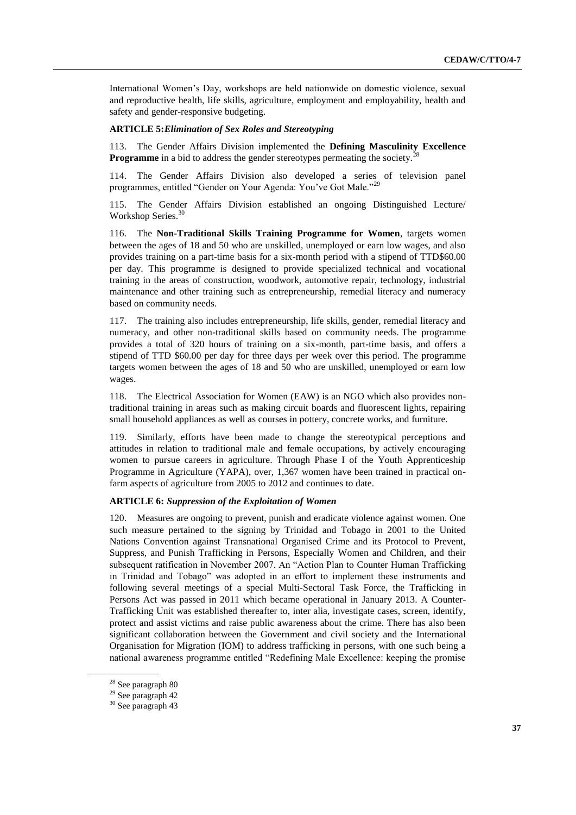International Women's Day, workshops are held nationwide on domestic violence, sexual and reproductive health, life skills, agriculture, employment and employability, health and safety and gender-responsive budgeting.

#### **ARTICLE 5:***Elimination of Sex Roles and Stereotyping*

113. The Gender Affairs Division implemented the **Defining Masculinity Excellence Programme** in a bid to address the gender stereotypes permeating the society.<sup>2</sup>

114. The Gender Affairs Division also developed a series of television panel programmes, entitled "Gender on Your Agenda: You've Got Male."<sup>29</sup>

115. The Gender Affairs Division established an ongoing Distinguished Lecture/ Workshop Series.<sup>30</sup>

116. The **Non-Traditional Skills Training Programme for Women**, targets women between the ages of 18 and 50 who are unskilled, unemployed or earn low wages, and also provides training on a part-time basis for a six-month period with a stipend of TTD\$60.00 per day. This programme is designed to provide specialized technical and vocational training in the areas of construction, woodwork, automotive repair, technology, industrial maintenance and other training such as entrepreneurship, remedial literacy and numeracy based on community needs.

117. The training also includes entrepreneurship, life skills, gender, remedial literacy and numeracy, and other non-traditional skills based on community needs. The programme provides a total of 320 hours of training on a six-month, part-time basis, and offers a stipend of TTD \$60.00 per day for three days per week over this period. The programme targets women between the ages of 18 and 50 who are unskilled, unemployed or earn low wages.

118. The Electrical Association for Women (EAW) is an NGO which also provides nontraditional training in areas such as making circuit boards and fluorescent lights, repairing small household appliances as well as courses in pottery, concrete works, and furniture.

119. Similarly, efforts have been made to change the stereotypical perceptions and attitudes in relation to traditional male and female occupations, by actively encouraging women to pursue careers in agriculture. Through Phase I of the Youth Apprenticeship Programme in Agriculture (YAPA), over, 1,367 women have been trained in practical onfarm aspects of agriculture from 2005 to 2012 and continues to date.

#### **ARTICLE 6:** *Suppression of the Exploitation of Women*

120. Measures are ongoing to prevent, punish and eradicate violence against women. One such measure pertained to the signing by Trinidad and Tobago in 2001 to the United Nations Convention against Transnational Organised Crime and its Protocol to Prevent, Suppress, and Punish Trafficking in Persons, Especially Women and Children, and their subsequent ratification in November 2007. An "Action Plan to Counter Human Trafficking in Trinidad and Tobago" was adopted in an effort to implement these instruments and following several meetings of a special Multi-Sectoral Task Force, the Trafficking in Persons Act was passed in 2011 which became operational in January 2013. A Counter-Trafficking Unit was established thereafter to, inter alia, investigate cases, screen, identify, protect and assist victims and raise public awareness about the crime. There has also been significant collaboration between the Government and civil society and the International Organisation for Migration (IOM) to address trafficking in persons, with one such being a national awareness programme entitled "Redefining Male Excellence: keeping the promise

<sup>28</sup> See paragraph 80

<sup>29</sup> See paragraph 42

<sup>30</sup> See paragraph 43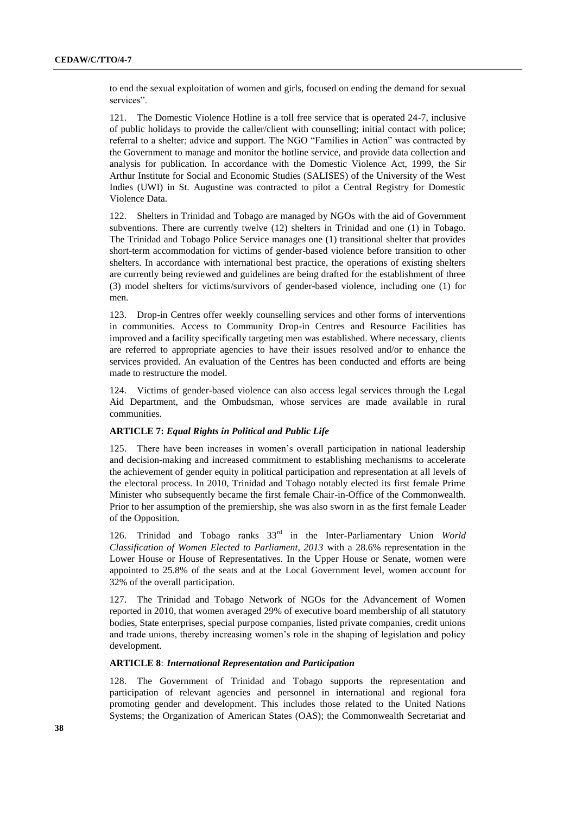to end the sexual exploitation of women and girls, focused on ending the demand for sexual services".

121. The Domestic Violence Hotline is a toll free service that is operated 24-7, inclusive of public holidays to provide the caller/client with counselling; initial contact with police; referral to a shelter; advice and support. The NGO "Families in Action" was contracted by the Government to manage and monitor the hotline service, and provide data collection and analysis for publication. In accordance with the Domestic Violence Act, 1999, the Sir Arthur Institute for Social and Economic Studies (SALISES) of the University of the West Indies (UWI) in St. Augustine was contracted to pilot a Central Registry for Domestic Violence Data.

122. Shelters in Trinidad and Tobago are managed by NGOs with the aid of Government subventions. There are currently twelve (12) shelters in Trinidad and one (1) in Tobago. The Trinidad and Tobago Police Service manages one (1) transitional shelter that provides short-term accommodation for victims of gender-based violence before transition to other shelters. In accordance with international best practice, the operations of existing shelters are currently being reviewed and guidelines are being drafted for the establishment of three (3) model shelters for victims/survivors of gender-based violence, including one (1) for men.

123. Drop-in Centres offer weekly counselling services and other forms of interventions in communities. Access to Community Drop-in Centres and Resource Facilities has improved and a facility specifically targeting men was established. Where necessary, clients are referred to appropriate agencies to have their issues resolved and/or to enhance the services provided. An evaluation of the Centres has been conducted and efforts are being made to restructure the model.

124. Victims of gender-based violence can also access legal services through the Legal Aid Department, and the Ombudsman, whose services are made available in rural communities.

#### **ARTICLE 7:** *Equal Rights in Political and Public Life*

There have been increases in women's overall participation in national leadership and decision-making and increased commitment to establishing mechanisms to accelerate the achievement of gender equity in political participation and representation at all levels of the electoral process. In 2010, Trinidad and Tobago notably elected its first female Prime Minister who subsequently became the first female Chair-in-Office of the Commonwealth. Prior to her assumption of the premiership, she was also sworn in as the first female Leader of the Opposition.

126. Trinidad and Tobago ranks 33rd in the Inter-Parliamentary Union *World Classification of Women Elected to Parliament, 2013* with a 28.6% representation in the Lower House or House of Representatives. In the Upper House or Senate, women were appointed to 25.8% of the seats and at the Local Government level, women account for 32% of the overall participation.

127. The Trinidad and Tobago Network of NGOs for the Advancement of Women reported in 2010, that women averaged 29% of executive board membership of all statutory bodies, State enterprises, special purpose companies, listed private companies, credit unions and trade unions, thereby increasing women's role in the shaping of legislation and policy development.

## **ARTICLE 8**: *International Representation and Participation*

128. The Government of Trinidad and Tobago supports the representation and participation of relevant agencies and personnel in international and regional fora promoting gender and development. This includes those related to the United Nations Systems; the Organization of American States (OAS); the Commonwealth Secretariat and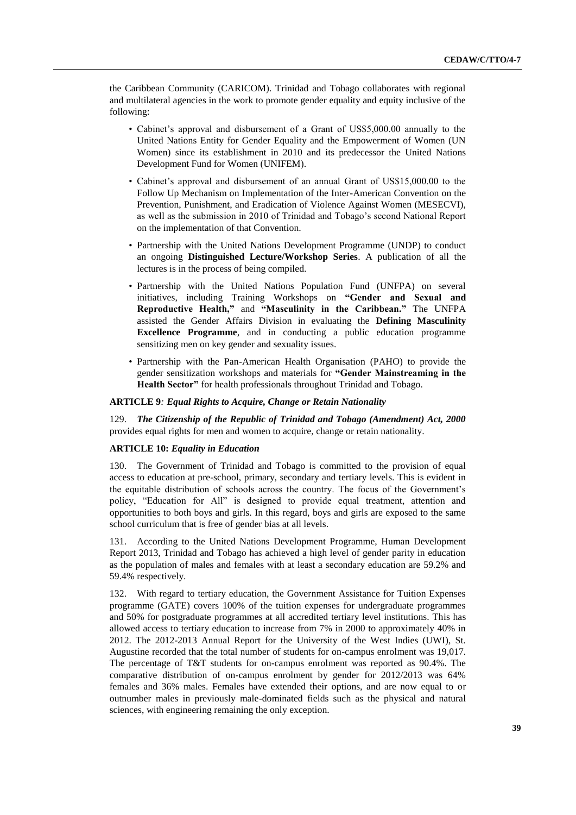the Caribbean Community (CARICOM). Trinidad and Tobago collaborates with regional and multilateral agencies in the work to promote gender equality and equity inclusive of the following:

- Cabinet's approval and disbursement of a Grant of US\$5,000.00 annually to the United Nations Entity for Gender Equality and the Empowerment of Women (UN Women) since its establishment in 2010 and its predecessor the United Nations Development Fund for Women (UNIFEM).
- Cabinet's approval and disbursement of an annual Grant of US\$15,000.00 to the Follow Up Mechanism on Implementation of the Inter-American Convention on the Prevention, Punishment, and Eradication of Violence Against Women (MESECVI), as well as the submission in 2010 of Trinidad and Tobago's second National Report on the implementation of that Convention.
- Partnership with the United Nations Development Programme (UNDP) to conduct an ongoing **Distinguished Lecture/Workshop Series**. A publication of all the lectures is in the process of being compiled.
- Partnership with the United Nations Population Fund (UNFPA) on several initiatives, including Training Workshops on **"Gender and Sexual and Reproductive Health,"** and **"Masculinity in the Caribbean."** The UNFPA assisted the Gender Affairs Division in evaluating the **Defining Masculinity Excellence Programme**, and in conducting a public education programme sensitizing men on key gender and sexuality issues.
- Partnership with the Pan-American Health Organisation (PAHO) to provide the gender sensitization workshops and materials for **"Gender Mainstreaming in the Health Sector"** for health professionals throughout Trinidad and Tobago.

#### **ARTICLE 9***: Equal Rights to Acquire, Change or Retain Nationality*

129. *The Citizenship of the Republic of Trinidad and Tobago (Amendment) Act, 2000* provides equal rights for men and women to acquire, change or retain nationality.

## **ARTICLE 10:** *Equality in Education*

130. The Government of Trinidad and Tobago is committed to the provision of equal access to education at pre-school, primary, secondary and tertiary levels. This is evident in the equitable distribution of schools across the country. The focus of the Government's policy, "Education for All" is designed to provide equal treatment, attention and opportunities to both boys and girls. In this regard, boys and girls are exposed to the same school curriculum that is free of gender bias at all levels.

131. According to the United Nations Development Programme, Human Development Report 2013, Trinidad and Tobago has achieved a high level of gender parity in education as the population of males and females with at least a secondary education are 59.2% and 59.4% respectively.

132. With regard to tertiary education, the Government Assistance for Tuition Expenses programme (GATE) covers 100% of the tuition expenses for undergraduate programmes and 50% for postgraduate programmes at all accredited tertiary level institutions. This has allowed access to tertiary education to increase from 7% in 2000 to approximately 40% in 2012. The 2012-2013 Annual Report for the University of the West Indies (UWI), St. Augustine recorded that the total number of students for on-campus enrolment was 19,017. The percentage of T&T students for on-campus enrolment was reported as 90.4%. The comparative distribution of on-campus enrolment by gender for 2012/2013 was 64% females and 36% males. Females have extended their options, and are now equal to or outnumber males in previously male-dominated fields such as the physical and natural sciences, with engineering remaining the only exception.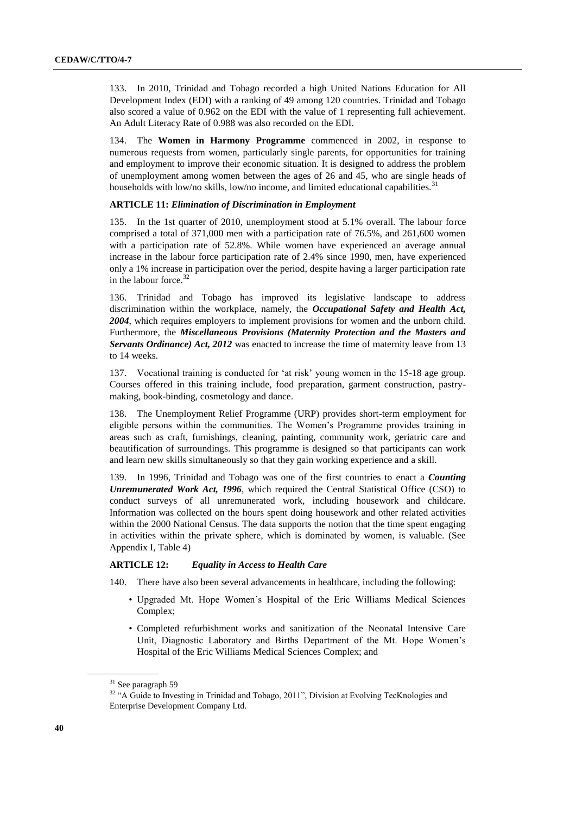133. In 2010, Trinidad and Tobago recorded a high United Nations Education for All Development Index (EDI) with a ranking of 49 among 120 countries. Trinidad and Tobago also scored a value of 0.962 on the EDI with the value of 1 representing full achievement. An Adult Literacy Rate of 0.988 was also recorded on the EDI.

134. The **Women in Harmony Programme** commenced in 2002, in response to numerous requests from women, particularly single parents, for opportunities for training and employment to improve their economic situation. It is designed to address the problem of unemployment among women between the ages of 26 and 45, who are single heads of households with low/no skills, low/no income, and limited educational capabilities.<sup>31</sup>

#### **ARTICLE 11:** *Elimination of Discrimination in Employment*

135. In the 1st quarter of 2010, unemployment stood at 5.1% overall. The labour force comprised a total of 371,000 men with a participation rate of 76.5%, and 261,600 women with a participation rate of 52.8%. While women have experienced an average annual increase in the labour force participation rate of 2.4% since 1990, men, have experienced only a 1% increase in participation over the period, despite having a larger participation rate in the labour force.<sup>32</sup>

136. Trinidad and Tobago has improved its legislative landscape to address discrimination within the workplace, namely, the *Occupational Safety and Health Act, 2004*, which requires employers to implement provisions for women and the unborn child. Furthermore, the *Miscellaneous Provisions (Maternity Protection and the Masters and Servants Ordinance) Act, 2012* was enacted to increase the time of maternity leave from 13 to 14 weeks.

137. Vocational training is conducted for 'at risk' young women in the 15-18 age group. Courses offered in this training include, food preparation, garment construction, pastrymaking, book-binding, cosmetology and dance.

138. The Unemployment Relief Programme (URP) provides short-term employment for eligible persons within the communities. The Women's Programme provides training in areas such as craft, furnishings, cleaning, painting, community work, geriatric care and beautification of surroundings. This programme is designed so that participants can work and learn new skills simultaneously so that they gain working experience and a skill.

139. In 1996, Trinidad and Tobago was one of the first countries to enact a *Counting Unremunerated Work Act, 1996*, which required the Central Statistical Office (CSO) to conduct surveys of all unremunerated work, including housework and childcare. Information was collected on the hours spent doing housework and other related activities within the 2000 National Census. The data supports the notion that the time spent engaging in activities within the private sphere, which is dominated by women, is valuable. (See Appendix I, Table 4)

### **ARTICLE 12:** *Equality in Access to Health Care*

140. There have also been several advancements in healthcare, including the following:

- Upgraded Mt. Hope Women's Hospital of the Eric Williams Medical Sciences Complex;
- Completed refurbishment works and sanitization of the Neonatal Intensive Care Unit, Diagnostic Laboratory and Births Department of the Mt. Hope Women's Hospital of the Eric Williams Medical Sciences Complex; and

<sup>31</sup> See paragraph 59

<sup>&</sup>lt;sup>32</sup> "A Guide to Investing in Trinidad and Tobago, 2011", Division at Evolving TecKnologies and Enterprise Development Company Ltd.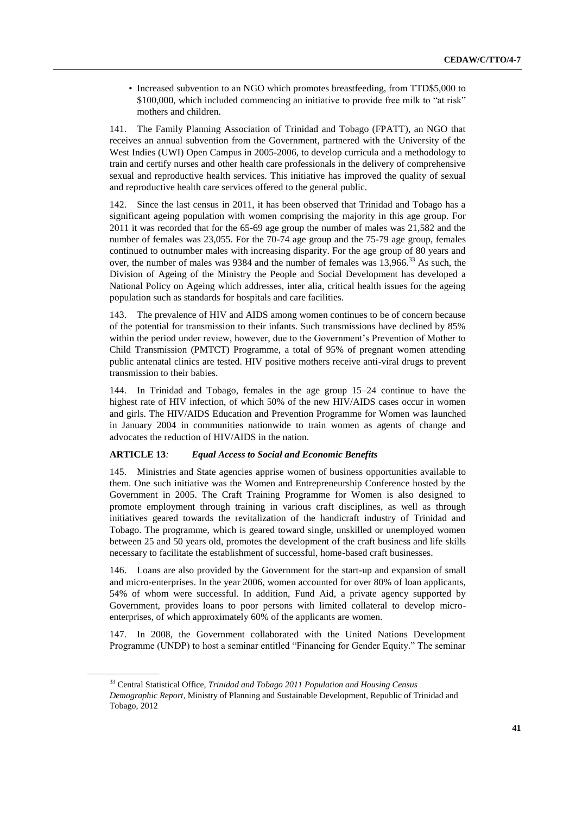• Increased subvention to an NGO which promotes breastfeeding, from TTD\$5,000 to \$100,000, which included commencing an initiative to provide free milk to "at risk" mothers and children.

141. The Family Planning Association of Trinidad and Tobago (FPATT), an NGO that receives an annual subvention from the Government, partnered with the University of the West Indies (UWI) Open Campus in 2005-2006, to develop curricula and a methodology to train and certify nurses and other health care professionals in the delivery of comprehensive sexual and reproductive health services. This initiative has improved the quality of sexual and reproductive health care services offered to the general public.

142. Since the last census in 2011, it has been observed that Trinidad and Tobago has a significant ageing population with women comprising the majority in this age group. For 2011 it was recorded that for the 65-69 age group the number of males was 21,582 and the number of females was 23,055. For the 70-74 age group and the 75-79 age group, females continued to outnumber males with increasing disparity. For the age group of 80 years and over, the number of males was 9384 and the number of females was 13,966.<sup>33</sup> As such, the Division of Ageing of the Ministry the People and Social Development has developed a National Policy on Ageing which addresses, inter alia, critical health issues for the ageing population such as standards for hospitals and care facilities.

143. The prevalence of HIV and AIDS among women continues to be of concern because of the potential for transmission to their infants. Such transmissions have declined by 85% within the period under review, however, due to the Government's Prevention of Mother to Child Transmission (PMTCT) Programme, a total of 95% of pregnant women attending public antenatal clinics are tested. HIV positive mothers receive anti-viral drugs to prevent transmission to their babies.

144. In Trinidad and Tobago, females in the age group 15–24 continue to have the highest rate of HIV infection, of which 50% of the new HIV/AIDS cases occur in women and girls. The HIV/AIDS Education and Prevention Programme for Women was launched in January 2004 in communities nationwide to train women as agents of change and advocates the reduction of HIV/AIDS in the nation.

#### **ARTICLE 13***: Equal Access to Social and Economic Benefits*

145. Ministries and State agencies apprise women of business opportunities available to them. One such initiative was the Women and Entrepreneurship Conference hosted by the Government in 2005. The Craft Training Programme for Women is also designed to promote employment through training in various craft disciplines, as well as through initiatives geared towards the revitalization of the handicraft industry of Trinidad and Tobago. The programme, which is geared toward single, unskilled or unemployed women between 25 and 50 years old, promotes the development of the craft business and life skills necessary to facilitate the establishment of successful, home-based craft businesses.

146. Loans are also provided by the Government for the start-up and expansion of small and micro-enterprises. In the year 2006, women accounted for over 80% of loan applicants, 54% of whom were successful. In addition, Fund Aid, a private agency supported by Government, provides loans to poor persons with limited collateral to develop microenterprises, of which approximately 60% of the applicants are women.

147. In 2008, the Government collaborated with the United Nations Development Programme (UNDP) to host a seminar entitled "Financing for Gender Equity." The seminar

<sup>33</sup> Central Statistical Office, *Trinidad and Tobago 2011 Population and Housing Census Demographic Report*, Ministry of Planning and Sustainable Development, Republic of Trinidad and Tobago, 2012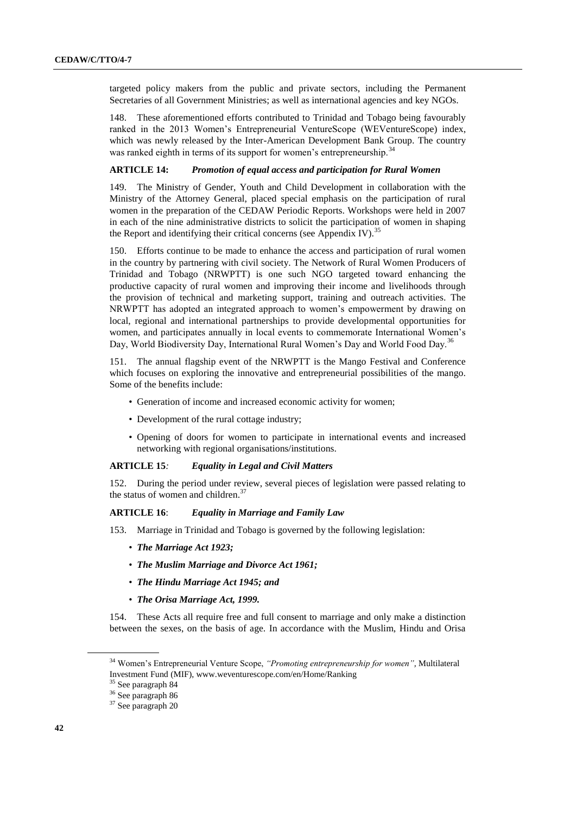targeted policy makers from the public and private sectors, including the Permanent Secretaries of all Government Ministries; as well as international agencies and key NGOs.

148. These aforementioned efforts contributed to Trinidad and Tobago being favourably ranked in the 2013 Women's Entrepreneurial VentureScope (WEVentureScope) index, which was newly released by the Inter-American Development Bank Group. The country was ranked eighth in terms of its support for women's entrepreneurship.<sup>34</sup>

## **ARTICLE 14:** *Promotion of equal access and participation for Rural Women*

149. The Ministry of Gender, Youth and Child Development in collaboration with the Ministry of the Attorney General, placed special emphasis on the participation of rural women in the preparation of the CEDAW Periodic Reports. Workshops were held in 2007 in each of the nine administrative districts to solicit the participation of women in shaping the Report and identifying their critical concerns (see Appendix IV).<sup>35</sup>

150. Efforts continue to be made to enhance the access and participation of rural women in the country by partnering with civil society. The Network of Rural Women Producers of Trinidad and Tobago (NRWPTT) is one such NGO targeted toward enhancing the productive capacity of rural women and improving their income and livelihoods through the provision of technical and marketing support, training and outreach activities. The NRWPTT has adopted an integrated approach to women's empowerment by drawing on local, regional and international partnerships to provide developmental opportunities for women, and participates annually in local events to commemorate International Women's Day, World Biodiversity Day, International Rural Women's Day and World Food Day.<sup>36</sup>

151. The annual flagship event of the NRWPTT is the Mango Festival and Conference which focuses on exploring the innovative and entrepreneurial possibilities of the mango. Some of the benefits include:

- Generation of income and increased economic activity for women;
- Development of the rural cottage industry;
- Opening of doors for women to participate in international events and increased networking with regional organisations/institutions.

## **ARTICLE 15***: Equality in Legal and Civil Matters*

152. During the period under review, several pieces of legislation were passed relating to the status of women and children.<sup>37</sup>

## **ARTICLE 16**: *Equality in Marriage and Family Law*

- 153. Marriage in Trinidad and Tobago is governed by the following legislation:
	- *The Marriage Act 1923;*
	- *The Muslim Marriage and Divorce Act 1961;*
	- *The Hindu Marriage Act 1945; and*
	- *The Orisa Marriage Act, 1999.*

154. These Acts all require free and full consent to marriage and only make a distinction between the sexes, on the basis of age. In accordance with the Muslim, Hindu and Orisa

<sup>34</sup> Women's Entrepreneurial Venture Scope, *"Promoting entrepreneurship for women",* Multilateral Investment Fund (MIF), www.weventurescope.com/en/Home/Ranking

<sup>35</sup> See paragraph 84

<sup>36</sup> See paragraph 86

<sup>&</sup>lt;sup>37</sup> See paragraph 20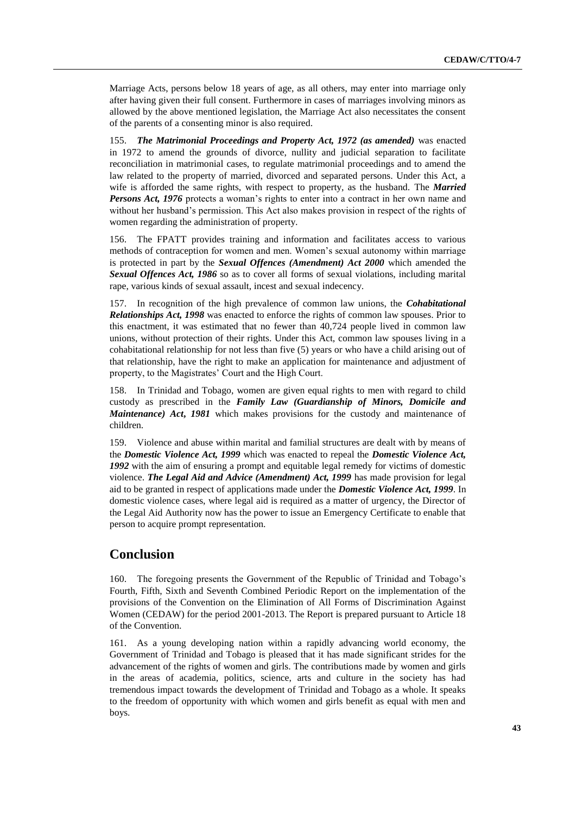Marriage Acts, persons below 18 years of age, as all others, may enter into marriage only after having given their full consent. Furthermore in cases of marriages involving minors as allowed by the above mentioned legislation, the Marriage Act also necessitates the consent of the parents of a consenting minor is also required.

155. *The Matrimonial Proceedings and Property Act, 1972 (as amended)* was enacted in 1972 to amend the grounds of divorce, nullity and judicial separation to facilitate reconciliation in matrimonial cases, to regulate matrimonial proceedings and to amend the law related to the property of married, divorced and separated persons. Under this Act, a wife is afforded the same rights, with respect to property, as the husband. The *Married Persons Act, 1976* protects a woman's rights to enter into a contract in her own name and without her husband's permission. This Act also makes provision in respect of the rights of women regarding the administration of property.

156. The FPATT provides training and information and facilitates access to various methods of contraception for women and men. Women's sexual autonomy within marriage is protected in part by the *Sexual Offences (Amendment) Act 2000* which amended the *Sexual Offences Act, 1986* so as to cover all forms of sexual violations, including marital rape, various kinds of sexual assault, incest and sexual indecency.

157. In recognition of the high prevalence of common law unions, the *Cohabitational Relationships Act, 1998* was enacted to enforce the rights of common law spouses. Prior to this enactment, it was estimated that no fewer than 40,724 people lived in common law unions, without protection of their rights. Under this Act, common law spouses living in a cohabitational relationship for not less than five (5) years or who have a child arising out of that relationship, have the right to make an application for maintenance and adjustment of property, to the Magistrates' Court and the High Court.

158. In Trinidad and Tobago, women are given equal rights to men with regard to child custody as prescribed in the *Family Law (Guardianship of Minors, Domicile and Maintenance) Act***,** *1981* which makes provisions for the custody and maintenance of children.

159. Violence and abuse within marital and familial structures are dealt with by means of the *Domestic Violence Act, 1999* which was enacted to repeal the *Domestic Violence Act, 1992* with the aim of ensuring a prompt and equitable legal remedy for victims of domestic violence. *The Legal Aid and Advice (Amendment) Act, 1999* has made provision for legal aid to be granted in respect of applications made under the *Domestic Violence Act, 1999*. In domestic violence cases, where legal aid is required as a matter of urgency, the Director of the Legal Aid Authority now has the power to issue an Emergency Certificate to enable that person to acquire prompt representation.

## **Conclusion**

160. The foregoing presents the Government of the Republic of Trinidad and Tobago's Fourth, Fifth, Sixth and Seventh Combined Periodic Report on the implementation of the provisions of the Convention on the Elimination of All Forms of Discrimination Against Women (CEDAW) for the period 2001-2013. The Report is prepared pursuant to Article 18 of the Convention.

161. As a young developing nation within a rapidly advancing world economy, the Government of Trinidad and Tobago is pleased that it has made significant strides for the advancement of the rights of women and girls. The contributions made by women and girls in the areas of academia, politics, science, arts and culture in the society has had tremendous impact towards the development of Trinidad and Tobago as a whole. It speaks to the freedom of opportunity with which women and girls benefit as equal with men and boys.